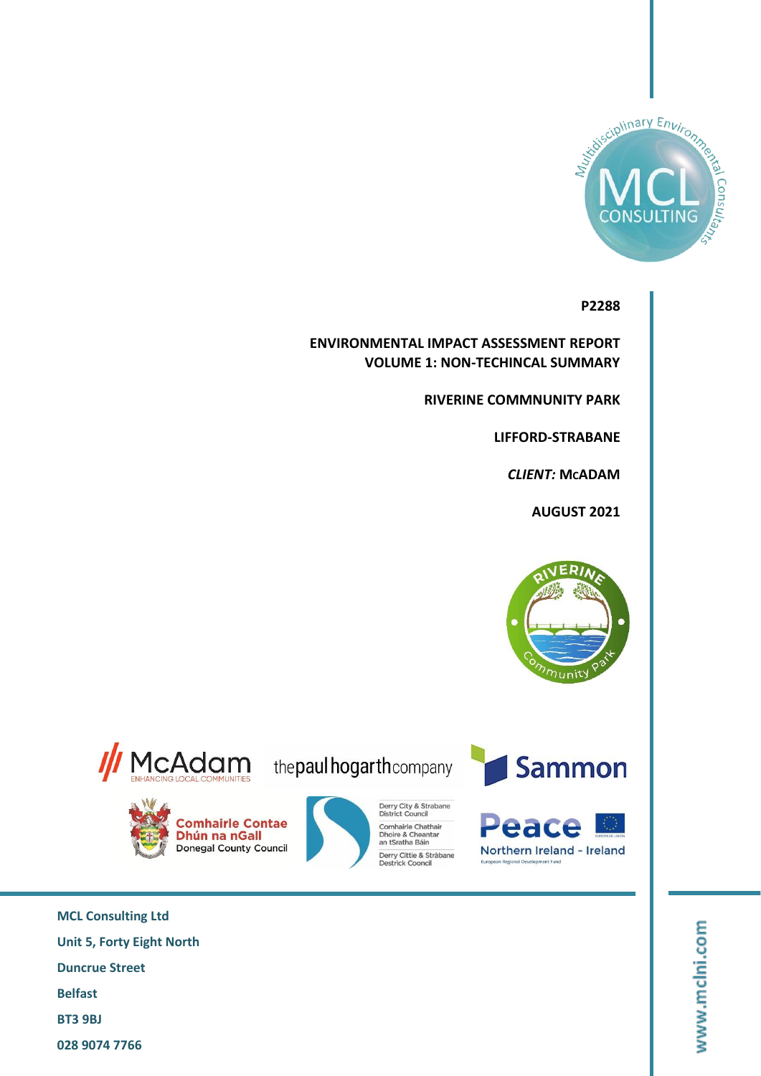

**P2288**

**ENVIRONMENTAL IMPACT ASSESSMENT REPORT VOLUME 1: NON-TECHINCAL SUMMARY**

**RIVERINE COMMNUNITY PARK**

**LIFFORD-STRABANE**

 $CLIENT: MCADAM$ 

**AUGUST 2021**





**Comhairle Contae** 

Dhún na nGall Donegal County Council

the paul hogarth company

Derry City & Strabane<br>District Council

Derry Cittie & Stràbane<br>Destrick Cooncil

Comhairle Chathair Comnairie Chathai<br>Dhoire & Cheantar<br>an tSratha Báin





**MCL Consulting Ltd Unit 5, Forty Eight North Duncrue Street Belfast BT3 9BJ 028 9074 7766**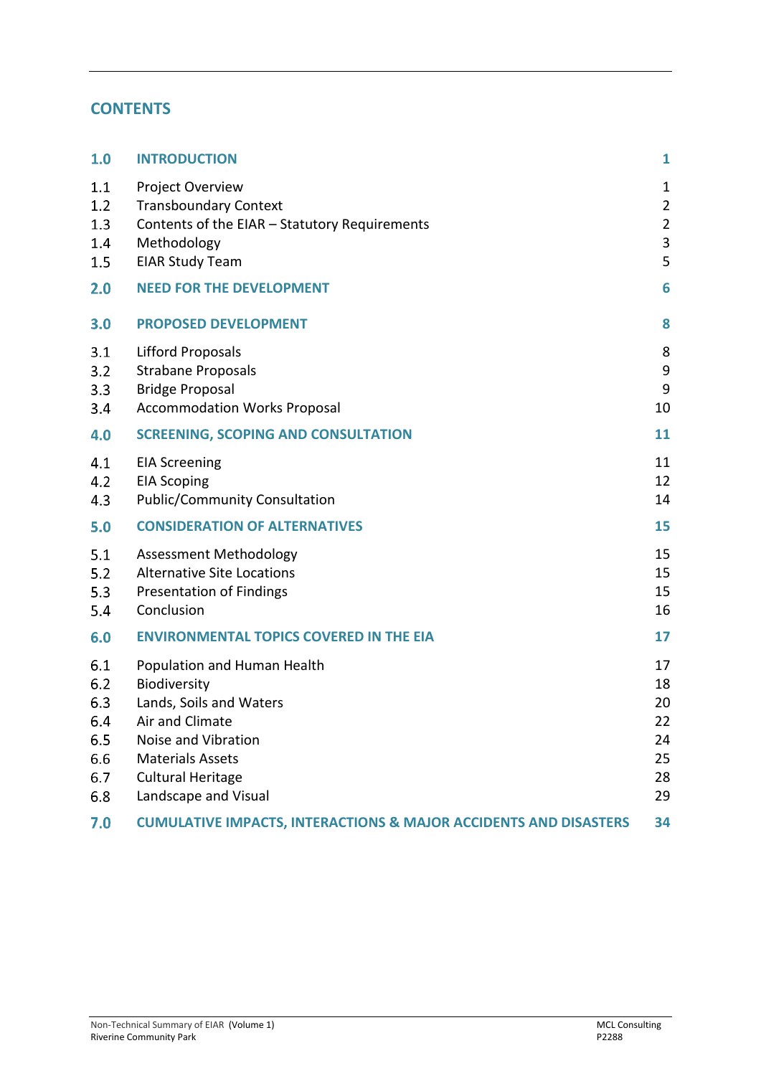# **CONTENTS**

| 1.0                                                  | <b>INTRODUCTION</b>                                                                                                                                                                             | 1                                               |
|------------------------------------------------------|-------------------------------------------------------------------------------------------------------------------------------------------------------------------------------------------------|-------------------------------------------------|
| 1.1<br>1.2<br>1.3                                    | Project Overview<br><b>Transboundary Context</b><br>Contents of the EIAR - Statutory Requirements                                                                                               | $\mathbf 1$<br>$\overline{2}$<br>$\overline{2}$ |
| 1.4<br>1.5                                           | Methodology<br><b>EIAR Study Team</b>                                                                                                                                                           | $\mathsf 3$<br>5                                |
| 2.0                                                  | <b>NEED FOR THE DEVELOPMENT</b>                                                                                                                                                                 | 6                                               |
| 3.0                                                  | <b>PROPOSED DEVELOPMENT</b>                                                                                                                                                                     | 8                                               |
| 3.1<br>3.2<br>3.3<br>3.4                             | <b>Lifford Proposals</b><br><b>Strabane Proposals</b><br><b>Bridge Proposal</b><br><b>Accommodation Works Proposal</b>                                                                          | 8<br>9<br>$\boldsymbol{9}$<br>10                |
| 4.0                                                  | <b>SCREENING, SCOPING AND CONSULTATION</b>                                                                                                                                                      | 11                                              |
| 4.1<br>4.2<br>4.3                                    | <b>EIA Screening</b><br><b>EIA Scoping</b><br><b>Public/Community Consultation</b>                                                                                                              | 11<br>12<br>14                                  |
| 5.0                                                  | <b>CONSIDERATION OF ALTERNATIVES</b>                                                                                                                                                            | 15                                              |
| 5.1<br>5.2<br>5.3<br>5.4                             | <b>Assessment Methodology</b><br><b>Alternative Site Locations</b><br><b>Presentation of Findings</b><br>Conclusion                                                                             | 15<br>15<br>15<br>16                            |
| 6.0                                                  | <b>ENVIRONMENTAL TOPICS COVERED IN THE EIA</b>                                                                                                                                                  | 17                                              |
| 6.1<br>6.2<br>6.3<br>6.4<br>6.5<br>6.6<br>6.7<br>6.8 | Population and Human Health<br>Biodiversity<br>Lands, Soils and Waters<br>Air and Climate<br>Noise and Vibration<br><b>Materials Assets</b><br><b>Cultural Heritage</b><br>Landscape and Visual | 17<br>18<br>20<br>22<br>24<br>25<br>28<br>29    |
| 7.0                                                  | <b>CUMULATIVE IMPACTS, INTERACTIONS &amp; MAJOR ACCIDENTS AND DISASTERS</b>                                                                                                                     | 34                                              |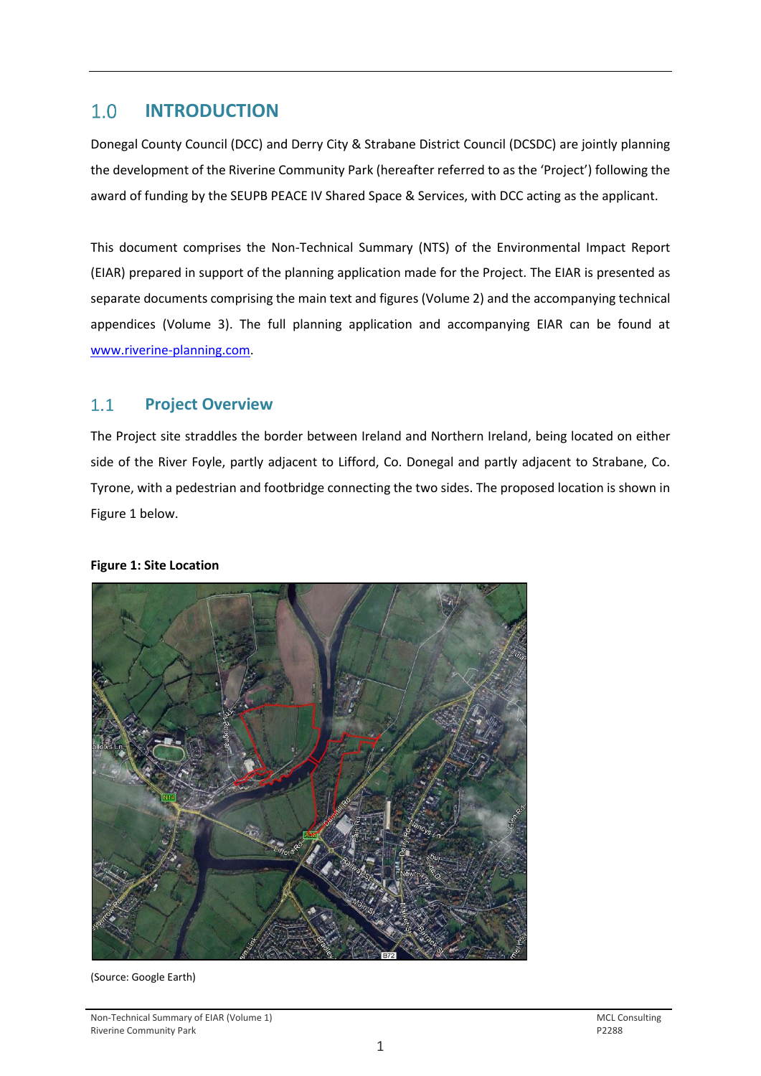### <span id="page-2-0"></span> $1.0$ **INTRODUCTION**

Donegal County Council (DCC) and Derry City & Strabane District Council (DCSDC) are jointly planning the development of the Riverine Community Park (hereafter referred to as the 'Project') following the award of funding by the SEUPB PEACE IV Shared Space & Services, with DCC acting as the applicant.

This document comprises the Non-Technical Summary (NTS) of the Environmental Impact Report (EIAR) prepared in support of the planning application made for the Project. The EIAR is presented as separate documents comprising the main text and figures (Volume 2) and the accompanying technical appendices (Volume 3). The full planning application and accompanying EIAR can be found at [www.riverine-planning.com.](http://www.riverine-planning.com/)

#### <span id="page-2-1"></span> $1.1$ **Project Overview**

The Project site straddles the border between Ireland and Northern Ireland, being located on either side of the River Foyle, partly adjacent to Lifford, Co. Donegal and partly adjacent to Strabane, Co. Tyrone, with a pedestrian and footbridge connecting the two sides. The proposed location is shown in Figure 1 below.

### **Figure 1: Site Location**



(Source: Google Earth)

Non-Technical Summary of EIAR (Volume 1)<br>
Riverine Community Park<br>
P2288 Riverine Community Park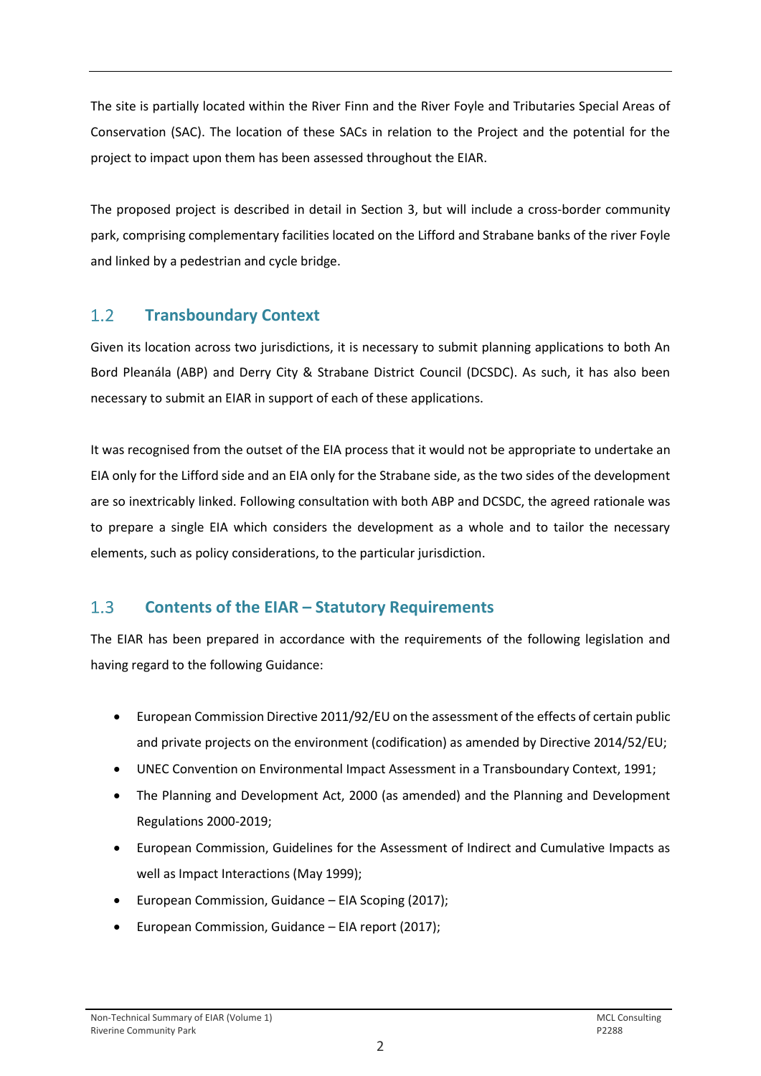The site is partially located within the River Finn and the River Foyle and Tributaries Special Areas of Conservation (SAC). The location of these SACs in relation to the Project and the potential for the project to impact upon them has been assessed throughout the EIAR.

The proposed project is described in detail in Section 3, but will include a cross-border community park, comprising complementary facilities located on the Lifford and Strabane banks of the river Foyle and linked by a pedestrian and cycle bridge.

#### <span id="page-3-0"></span> $1.2$ **Transboundary Context**

Given its location across two jurisdictions, it is necessary to submit planning applications to both An Bord Pleanála (ABP) and Derry City & Strabane District Council (DCSDC). As such, it has also been necessary to submit an EIAR in support of each of these applications.

It was recognised from the outset of the EIA process that it would not be appropriate to undertake an EIA only for the Lifford side and an EIA only for the Strabane side, as the two sides of the development are so inextricably linked. Following consultation with both ABP and DCSDC, the agreed rationale was to prepare a single EIA which considers the development as a whole and to tailor the necessary elements, such as policy considerations, to the particular jurisdiction.

#### <span id="page-3-1"></span> $1.3$ **Contents of the EIAR – Statutory Requirements**

The EIAR has been prepared in accordance with the requirements of the following legislation and having regard to the following Guidance:

- European Commission Directive 2011/92/EU on the assessment of the effects of certain public and private projects on the environment (codification) as amended by Directive 2014/52/EU;
- UNEC Convention on Environmental Impact Assessment in a Transboundary Context, 1991;
- The Planning and Development Act, 2000 (as amended) and the Planning and Development Regulations 2000-2019;
- European Commission, Guidelines for the Assessment of Indirect and Cumulative Impacts as well as Impact Interactions (May 1999);
- European Commission, Guidance EIA Scoping (2017);
- European Commission, Guidance EIA report (2017);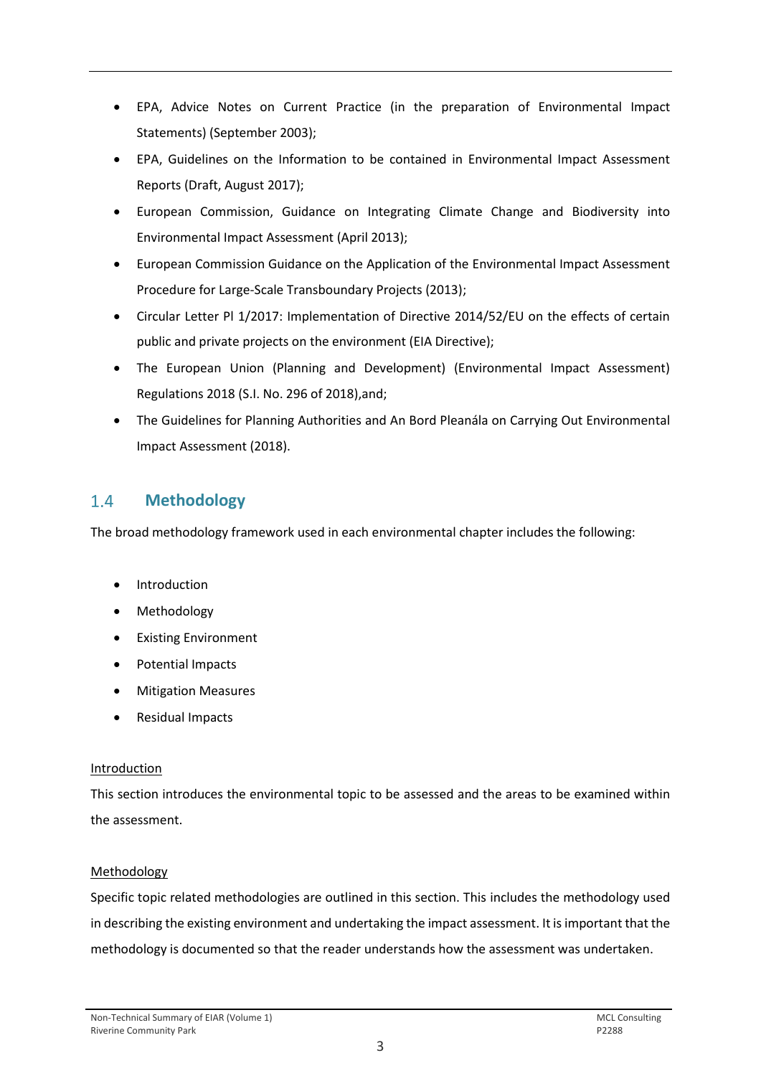- EPA, Advice Notes on Current Practice (in the preparation of Environmental Impact Statements) (September 2003);
- EPA, Guidelines on the Information to be contained in Environmental Impact Assessment Reports (Draft, August 2017);
- European Commission, Guidance on Integrating Climate Change and Biodiversity into Environmental Impact Assessment (April 2013);
- European Commission Guidance on the Application of the Environmental Impact Assessment Procedure for Large-Scale Transboundary Projects (2013);
- Circular Letter Pl 1/2017: Implementation of Directive 2014/52/EU on the effects of certain public and private projects on the environment (EIA Directive);
- The European Union (Planning and Development) (Environmental Impact Assessment) Regulations 2018 (S.I. No. 296 of 2018),and;
- The Guidelines for Planning Authorities and An Bord Pleanála on Carrying Out Environmental Impact Assessment (2018).

### <span id="page-4-0"></span> $1.4$ **Methodology**

The broad methodology framework used in each environmental chapter includes the following:

- **Introduction**
- Methodology
- Existing Environment
- Potential Impacts
- Mitigation Measures
- Residual Impacts

# **Introduction**

This section introduces the environmental topic to be assessed and the areas to be examined within the assessment.

# Methodology

Specific topic related methodologies are outlined in this section. This includes the methodology used in describing the existing environment and undertaking the impact assessment. It is important that the methodology is documented so that the reader understands how the assessment was undertaken.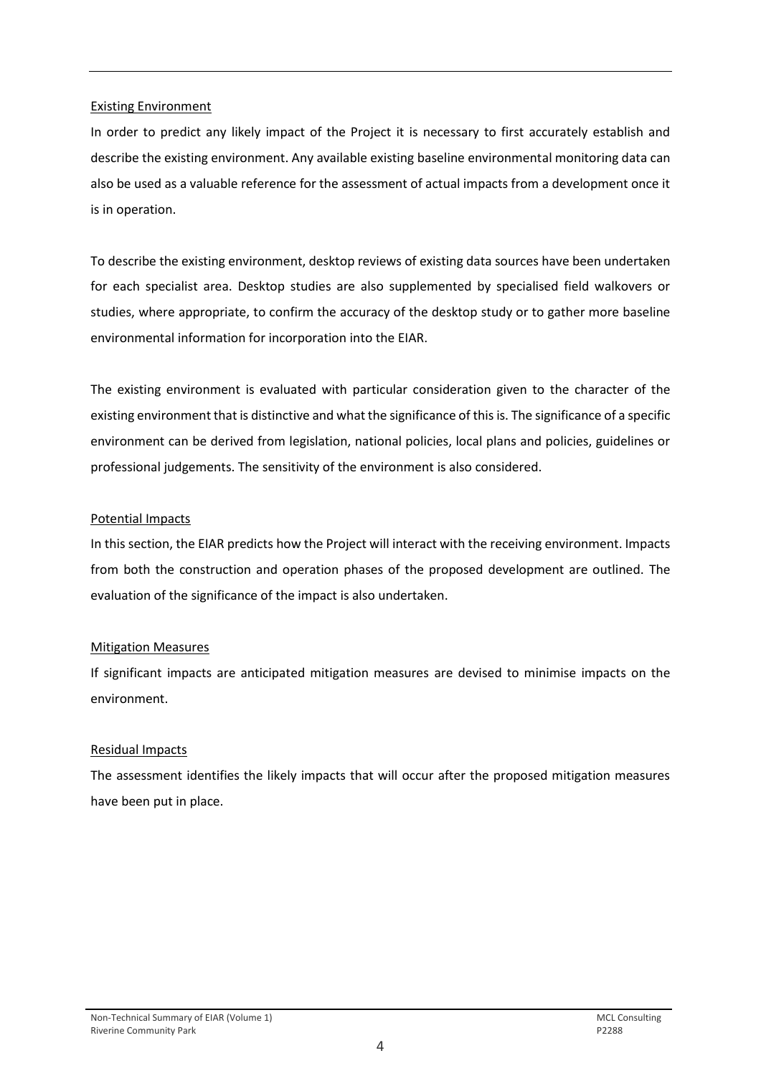### Existing Environment

In order to predict any likely impact of the Project it is necessary to first accurately establish and describe the existing environment. Any available existing baseline environmental monitoring data can also be used as a valuable reference for the assessment of actual impacts from a development once it is in operation.

To describe the existing environment, desktop reviews of existing data sources have been undertaken for each specialist area. Desktop studies are also supplemented by specialised field walkovers or studies, where appropriate, to confirm the accuracy of the desktop study or to gather more baseline environmental information for incorporation into the EIAR.

The existing environment is evaluated with particular consideration given to the character of the existing environment that is distinctive and what the significance of this is. The significance of a specific environment can be derived from legislation, national policies, local plans and policies, guidelines or professional judgements. The sensitivity of the environment is also considered.

### Potential Impacts

In this section, the EIAR predicts how the Project will interact with the receiving environment. Impacts from both the construction and operation phases of the proposed development are outlined. The evaluation of the significance of the impact is also undertaken.

### Mitigation Measures

If significant impacts are anticipated mitigation measures are devised to minimise impacts on the environment.

# Residual Impacts

The assessment identifies the likely impacts that will occur after the proposed mitigation measures have been put in place.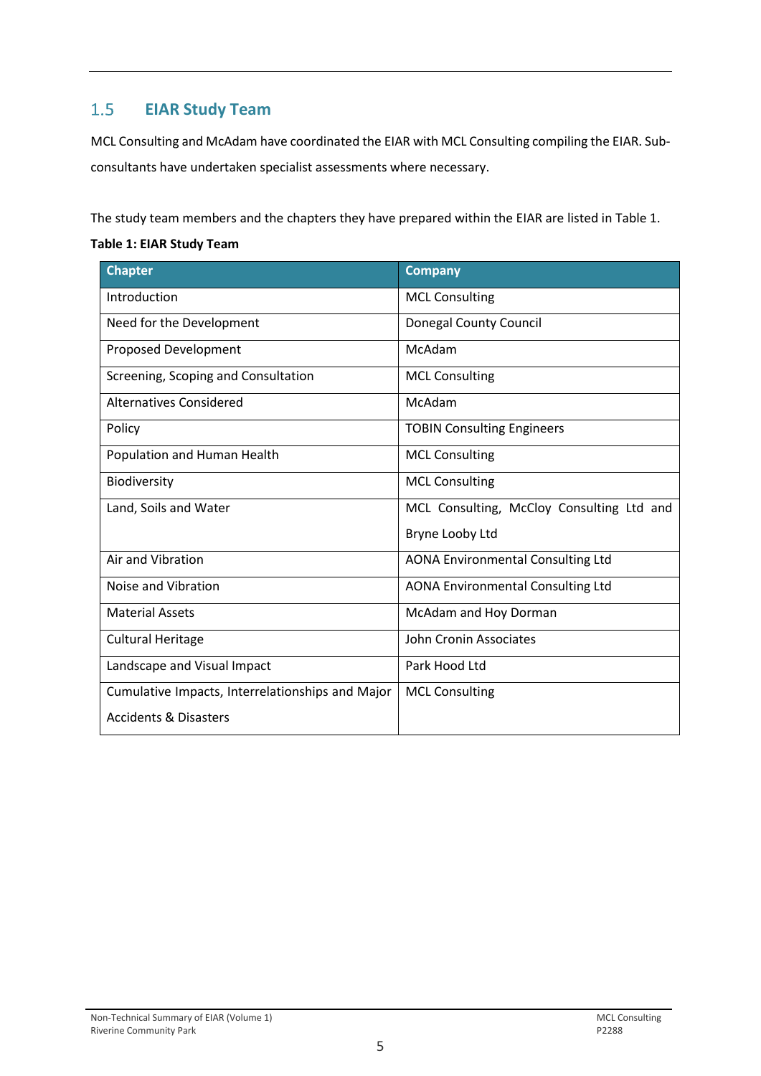### <span id="page-6-0"></span> $1.5$ **EIAR Study Team**

MCL Consulting and McAdam have coordinated the EIAR with MCL Consulting compiling the EIAR. Subconsultants have undertaken specialist assessments where necessary.

The study team members and the chapters they have prepared within the EIAR are listed in Table 1.

### **Table 1: EIAR Study Team**

| <b>Chapter</b>                                   | <b>Company</b>                            |  |  |  |
|--------------------------------------------------|-------------------------------------------|--|--|--|
| Introduction                                     | <b>MCL Consulting</b>                     |  |  |  |
| Need for the Development                         | <b>Donegal County Council</b>             |  |  |  |
| <b>Proposed Development</b>                      | McAdam                                    |  |  |  |
| Screening, Scoping and Consultation              | <b>MCL Consulting</b>                     |  |  |  |
| <b>Alternatives Considered</b>                   | McAdam                                    |  |  |  |
| Policy                                           | <b>TOBIN Consulting Engineers</b>         |  |  |  |
| Population and Human Health                      | <b>MCL Consulting</b>                     |  |  |  |
| Biodiversity                                     | <b>MCL Consulting</b>                     |  |  |  |
| Land, Soils and Water                            | MCL Consulting, McCloy Consulting Ltd and |  |  |  |
|                                                  | Bryne Looby Ltd                           |  |  |  |
| Air and Vibration                                | <b>AONA Environmental Consulting Ltd</b>  |  |  |  |
| Noise and Vibration                              | <b>AONA Environmental Consulting Ltd</b>  |  |  |  |
| <b>Material Assets</b>                           | McAdam and Hoy Dorman                     |  |  |  |
| <b>Cultural Heritage</b>                         | John Cronin Associates                    |  |  |  |
| Landscape and Visual Impact                      | Park Hood Ltd                             |  |  |  |
| Cumulative Impacts, Interrelationships and Major | <b>MCL Consulting</b>                     |  |  |  |
| <b>Accidents &amp; Disasters</b>                 |                                           |  |  |  |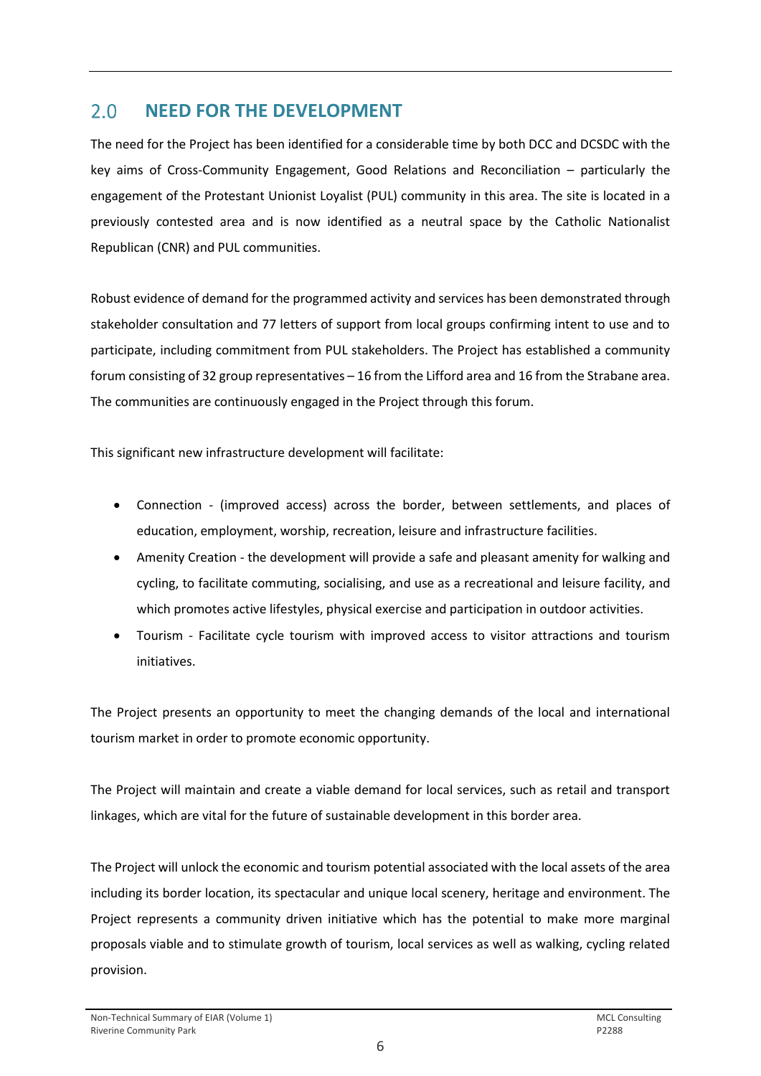### <span id="page-7-0"></span> $2.0$ **NEED FOR THE DEVELOPMENT**

The need for the Project has been identified for a considerable time by both DCC and DCSDC with the key aims of Cross-Community Engagement, Good Relations and Reconciliation – particularly the engagement of the Protestant Unionist Loyalist (PUL) community in this area. The site is located in a previously contested area and is now identified as a neutral space by the Catholic Nationalist Republican (CNR) and PUL communities.

Robust evidence of demand for the programmed activity and services has been demonstrated through stakeholder consultation and 77 letters of support from local groups confirming intent to use and to participate, including commitment from PUL stakeholders. The Project has established a community forum consisting of 32 group representatives – 16 from the Lifford area and 16 from the Strabane area. The communities are continuously engaged in the Project through this forum.

This significant new infrastructure development will facilitate:

- Connection (improved access) across the border, between settlements, and places of education, employment, worship, recreation, leisure and infrastructure facilities.
- Amenity Creation the development will provide a safe and pleasant amenity for walking and cycling, to facilitate commuting, socialising, and use as a recreational and leisure facility, and which promotes active lifestyles, physical exercise and participation in outdoor activities.
- Tourism Facilitate cycle tourism with improved access to visitor attractions and tourism initiatives.

The Project presents an opportunity to meet the changing demands of the local and international tourism market in order to promote economic opportunity.

The Project will maintain and create a viable demand for local services, such as retail and transport linkages, which are vital for the future of sustainable development in this border area.

The Project will unlock the economic and tourism potential associated with the local assets of the area including its border location, its spectacular and unique local scenery, heritage and environment. The Project represents a community driven initiative which has the potential to make more marginal proposals viable and to stimulate growth of tourism, local services as well as walking, cycling related provision.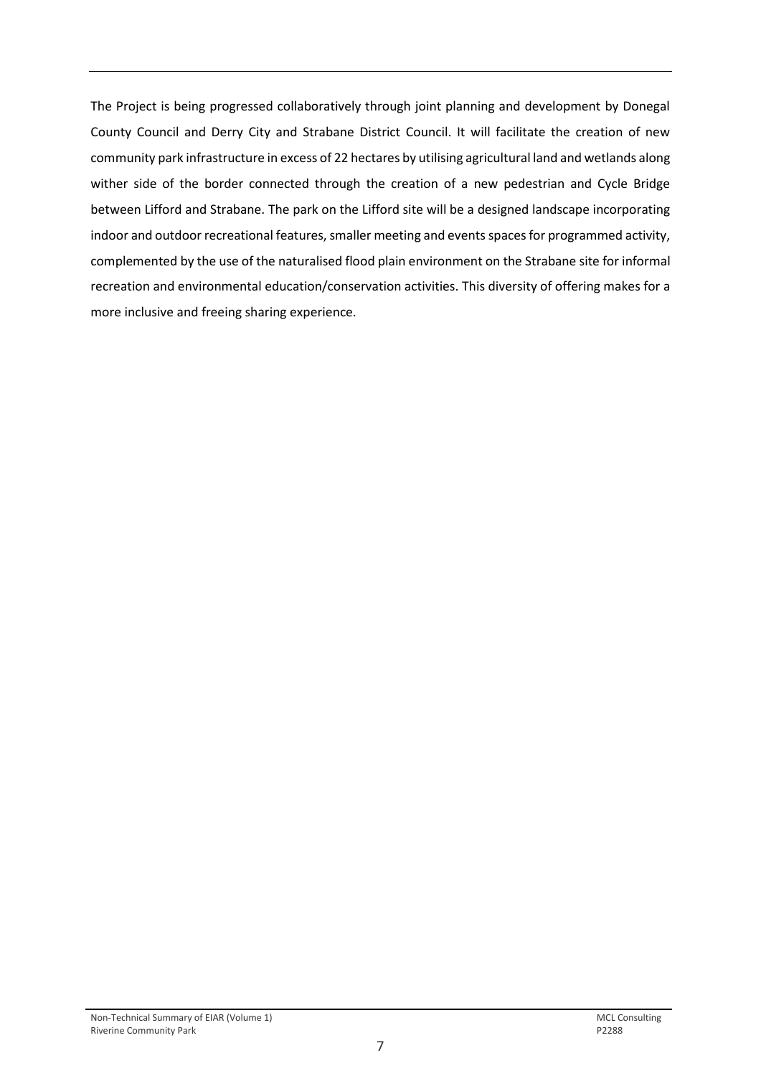The Project is being progressed collaboratively through joint planning and development by Donegal County Council and Derry City and Strabane District Council. It will facilitate the creation of new community park infrastructure in excess of 22 hectares by utilising agricultural land and wetlands along wither side of the border connected through the creation of a new pedestrian and Cycle Bridge between Lifford and Strabane. The park on the Lifford site will be a designed landscape incorporating indoor and outdoor recreational features, smaller meeting and events spaces for programmed activity, complemented by the use of the naturalised flood plain environment on the Strabane site for informal recreation and environmental education/conservation activities. This diversity of offering makes for a more inclusive and freeing sharing experience.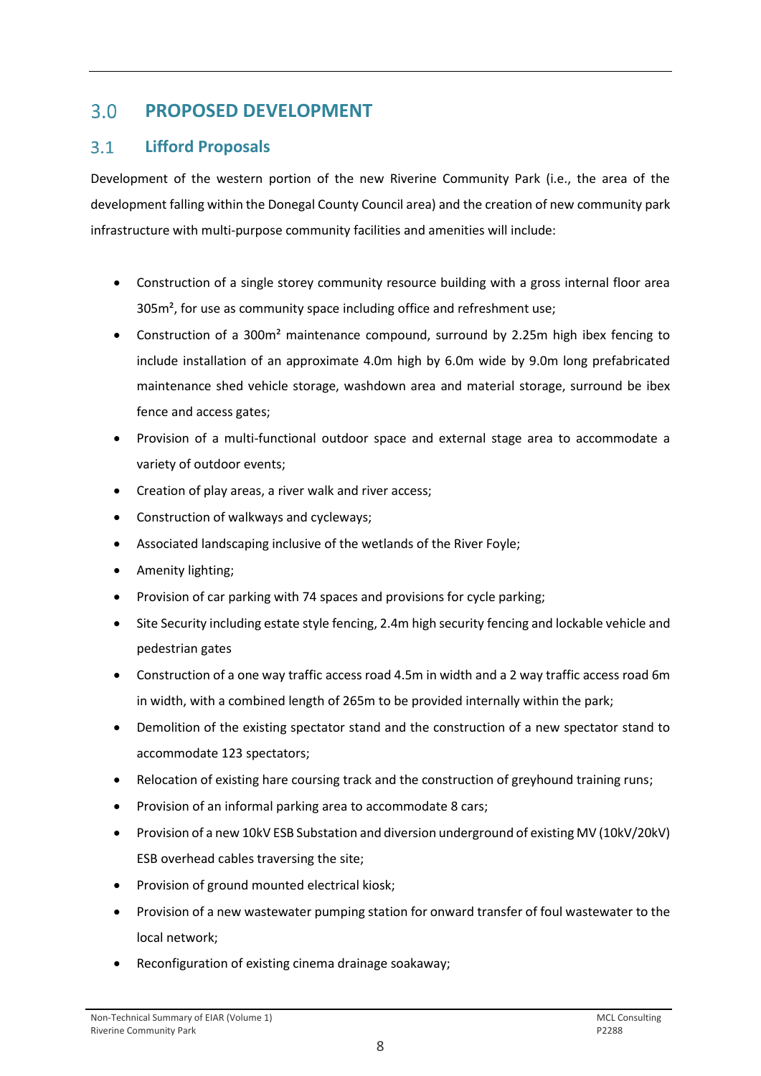### <span id="page-9-0"></span> $3.0<sub>1</sub>$ **PROPOSED DEVELOPMENT**

#### <span id="page-9-1"></span> $3.1$ **Lifford Proposals**

Development of the western portion of the new Riverine Community Park (i.e., the area of the development falling within the Donegal County Council area) and the creation of new community park infrastructure with multi-purpose community facilities and amenities will include:

- Construction of a single storey community resource building with a gross internal floor area 305m<sup>2</sup>, for use as community space including office and refreshment use;
- Construction of a 300m<sup>2</sup> maintenance compound, surround by 2.25m high ibex fencing to include installation of an approximate 4.0m high by 6.0m wide by 9.0m long prefabricated maintenance shed vehicle storage, washdown area and material storage, surround be ibex fence and access gates;
- Provision of a multi-functional outdoor space and external stage area to accommodate a variety of outdoor events;
- Creation of play areas, a river walk and river access;
- Construction of walkways and cycleways;
- Associated landscaping inclusive of the wetlands of the River Foyle;
- Amenity lighting;
- Provision of car parking with 74 spaces and provisions for cycle parking;
- Site Security including estate style fencing, 2.4m high security fencing and lockable vehicle and pedestrian gates
- Construction of a one way traffic access road 4.5m in width and a 2 way traffic access road 6m in width, with a combined length of 265m to be provided internally within the park;
- Demolition of the existing spectator stand and the construction of a new spectator stand to accommodate 123 spectators;
- Relocation of existing hare coursing track and the construction of greyhound training runs;
- Provision of an informal parking area to accommodate 8 cars;
- Provision of a new 10kV ESB Substation and diversion underground of existing MV (10kV/20kV) ESB overhead cables traversing the site;
- Provision of ground mounted electrical kiosk;
- Provision of a new wastewater pumping station for onward transfer of foul wastewater to the local network;
- Reconfiguration of existing cinema drainage soakaway;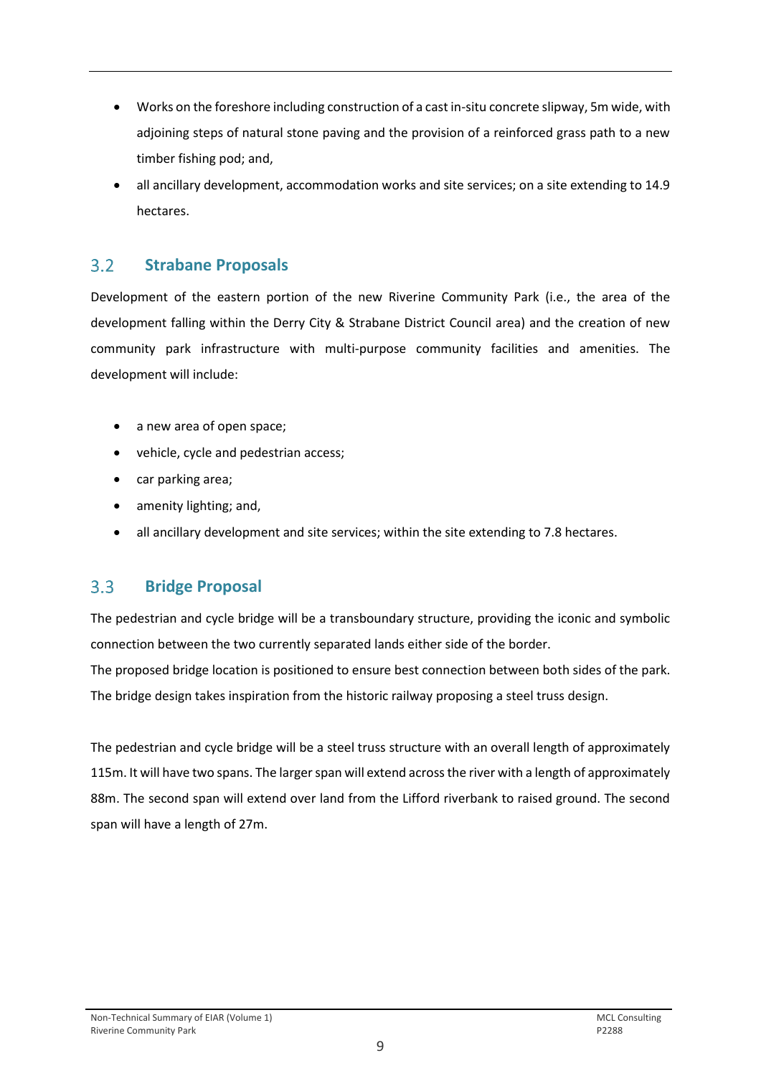- Works on the foreshore including construction of a cast in-situ concrete slipway, 5m wide, with adjoining steps of natural stone paving and the provision of a reinforced grass path to a new timber fishing pod; and,
- all ancillary development, accommodation works and site services; on a site extending to 14.9 hectares.

#### <span id="page-10-0"></span> $3.2$ **Strabane Proposals**

Development of the eastern portion of the new Riverine Community Park (i.e., the area of the development falling within the Derry City & Strabane District Council area) and the creation of new community park infrastructure with multi-purpose community facilities and amenities. The development will include:

- a new area of open space;
- vehicle, cycle and pedestrian access;
- car parking area;
- amenity lighting; and,
- all ancillary development and site services; within the site extending to 7.8 hectares.

#### <span id="page-10-1"></span> $3.3$ **Bridge Proposal**

The pedestrian and cycle bridge will be a transboundary structure, providing the iconic and symbolic connection between the two currently separated lands either side of the border.

The proposed bridge location is positioned to ensure best connection between both sides of the park. The bridge design takes inspiration from the historic railway proposing a steel truss design.

The pedestrian and cycle bridge will be a steel truss structure with an overall length of approximately 115m. It will have two spans. The larger span will extend across the river with a length of approximately 88m. The second span will extend over land from the Lifford riverbank to raised ground. The second span will have a length of 27m.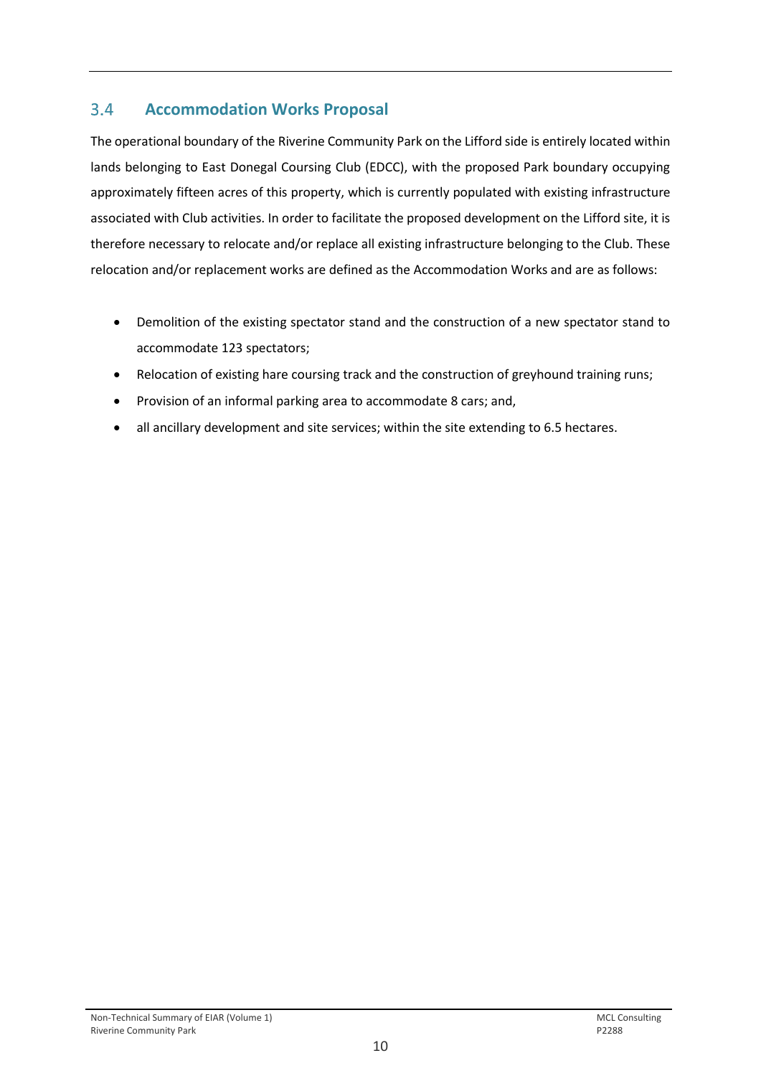#### <span id="page-11-0"></span> $3.4$ **Accommodation Works Proposal**

The operational boundary of the Riverine Community Park on the Lifford side is entirely located within lands belonging to East Donegal Coursing Club (EDCC), with the proposed Park boundary occupying approximately fifteen acres of this property, which is currently populated with existing infrastructure associated with Club activities. In order to facilitate the proposed development on the Lifford site, it is therefore necessary to relocate and/or replace all existing infrastructure belonging to the Club. These relocation and/or replacement works are defined as the Accommodation Works and are as follows:

- Demolition of the existing spectator stand and the construction of a new spectator stand to accommodate 123 spectators;
- Relocation of existing hare coursing track and the construction of greyhound training runs;
- Provision of an informal parking area to accommodate 8 cars; and,
- all ancillary development and site services; within the site extending to 6.5 hectares.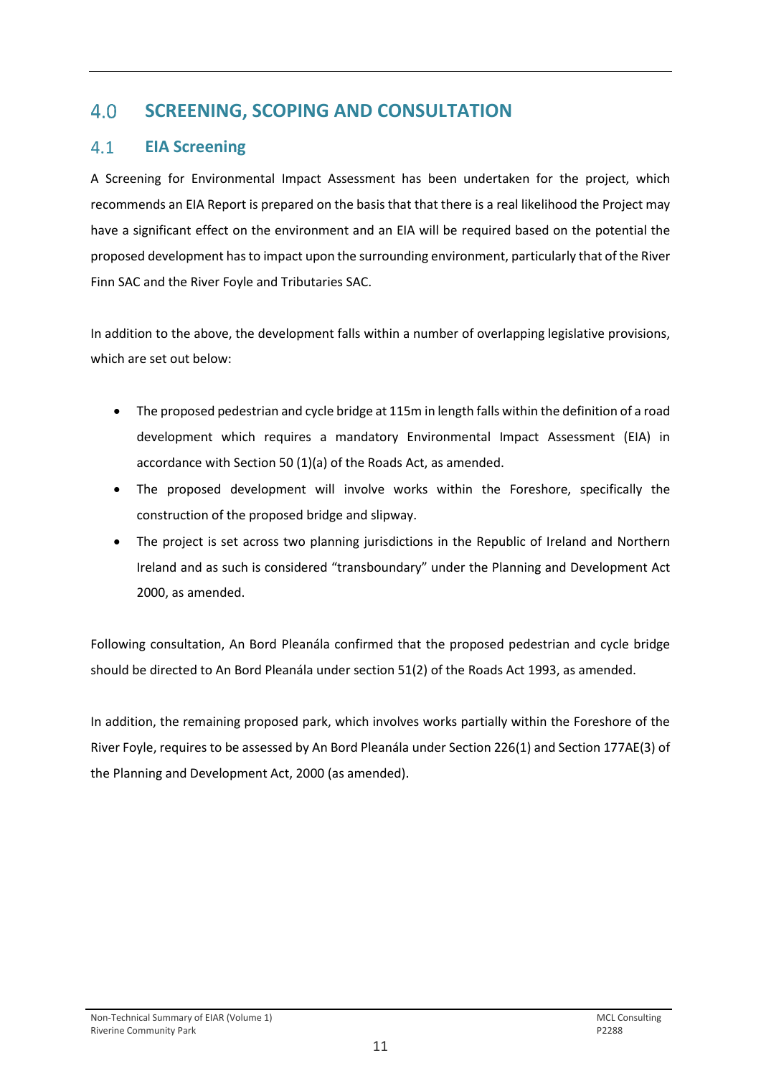### <span id="page-12-0"></span> $4.0$ **SCREENING, SCOPING AND CONSULTATION**

#### <span id="page-12-1"></span> $4.1$ **EIA Screening**

A Screening for Environmental Impact Assessment has been undertaken for the project, which recommends an EIA Report is prepared on the basis that that there is a real likelihood the Project may have a significant effect on the environment and an EIA will be required based on the potential the proposed development has to impact upon the surrounding environment, particularly that of the River Finn SAC and the River Foyle and Tributaries SAC.

In addition to the above, the development falls within a number of overlapping legislative provisions, which are set out below:

- The proposed pedestrian and cycle bridge at 115m in length falls within the definition of a road development which requires a mandatory Environmental Impact Assessment (EIA) in accordance with Section 50 (1)(a) of the Roads Act, as amended.
- The proposed development will involve works within the Foreshore, specifically the construction of the proposed bridge and slipway.
- The project is set across two planning jurisdictions in the Republic of Ireland and Northern Ireland and as such is considered "transboundary" under the Planning and Development Act 2000, as amended.

Following consultation, An Bord Pleanála confirmed that the proposed pedestrian and cycle bridge should be directed to An Bord Pleanála under section 51(2) of the Roads Act 1993, as amended.

In addition, the remaining proposed park, which involves works partially within the Foreshore of the River Foyle, requires to be assessed by An Bord Pleanála under Section 226(1) and Section 177AE(3) of the Planning and Development Act, 2000 (as amended).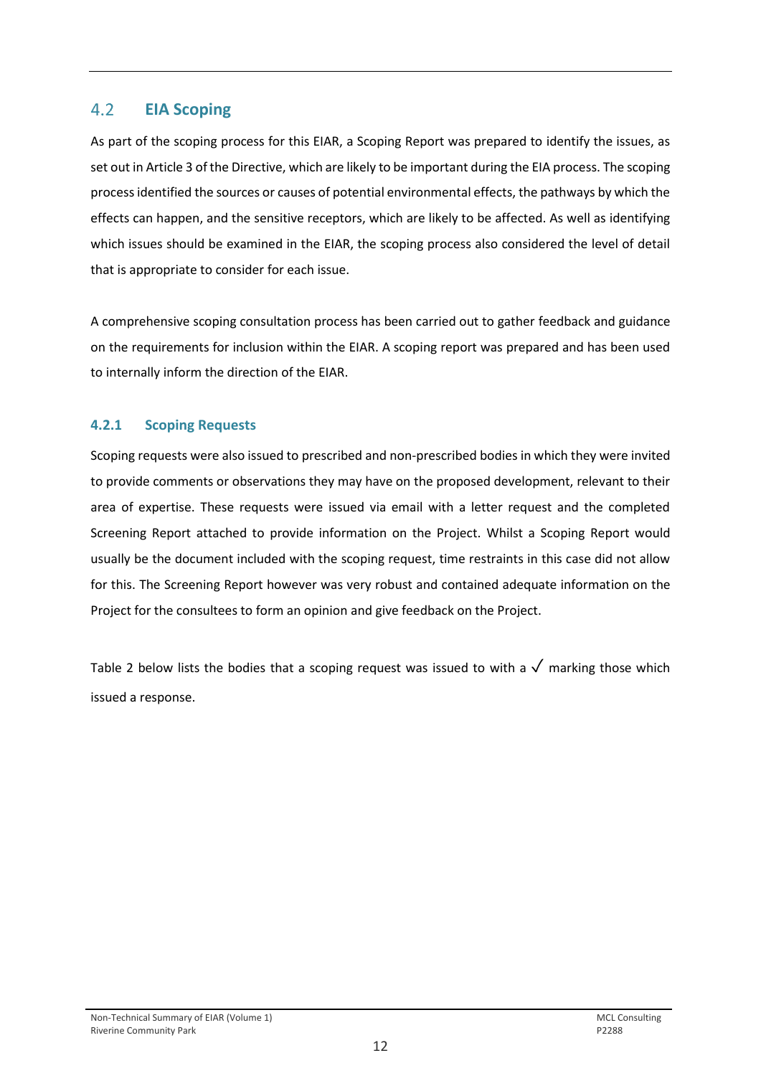### <span id="page-13-0"></span> $4.2$ **EIA Scoping**

As part of the scoping process for this EIAR, a Scoping Report was prepared to identify the issues, as set out in Article 3 of the Directive, which are likely to be important during the EIA process. The scoping process identified the sources or causes of potential environmental effects, the pathways by which the effects can happen, and the sensitive receptors, which are likely to be affected. As well as identifying which issues should be examined in the EIAR, the scoping process also considered the level of detail that is appropriate to consider for each issue.

A comprehensive scoping consultation process has been carried out to gather feedback and guidance on the requirements for inclusion within the EIAR. A scoping report was prepared and has been used to internally inform the direction of the EIAR.

# **4.2.1 Scoping Requests**

Scoping requests were also issued to prescribed and non-prescribed bodies in which they were invited to provide comments or observations they may have on the proposed development, relevant to their area of expertise. These requests were issued via email with a letter request and the completed Screening Report attached to provide information on the Project. Whilst a Scoping Report would usually be the document included with the scoping request, time restraints in this case did not allow for this. The Screening Report however was very robust and contained adequate information on the Project for the consultees to form an opinion and give feedback on the Project.

Table 2 below lists the bodies that a scoping request was issued to with a  $\sqrt{ }$  marking those which issued a response.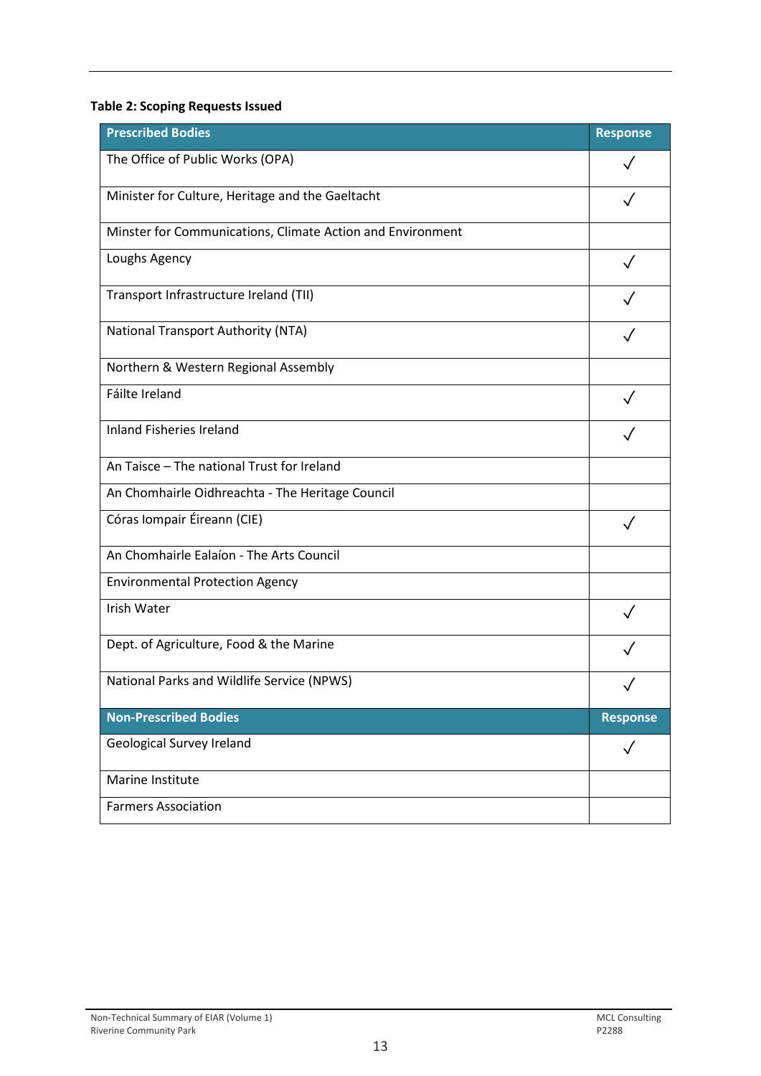# **Table 2: Scoping Requests Issued**

| <b>Prescribed Bodies</b>                                   | <b>Response</b> |
|------------------------------------------------------------|-----------------|
| The Office of Public Works (OPA)                           |                 |
| Minister for Culture, Heritage and the Gaeltacht           |                 |
| Minster for Communications, Climate Action and Environment |                 |
| Loughs Agency                                              |                 |
| Transport Infrastructure Ireland (TII)                     |                 |
| <b>National Transport Authority (NTA)</b>                  |                 |
| Northern & Western Regional Assembly                       |                 |
| Fáilte Ireland                                             |                 |
| <b>Inland Fisheries Ireland</b>                            |                 |
| An Taisce - The national Trust for Ireland                 |                 |
| An Chomhairle Oidhreachta - The Heritage Council           |                 |
| Córas Iompair Éireann (CIE)                                |                 |
| An Chomhairle Ealaíon - The Arts Council                   |                 |
| <b>Environmental Protection Agency</b>                     |                 |
| Irish Water                                                |                 |
| Dept. of Agriculture, Food & the Marine                    |                 |
| National Parks and Wildlife Service (NPWS)                 |                 |
| <b>Non-Prescribed Bodies</b>                               | <b>Response</b> |
| Geological Survey Ireland                                  | $\checkmark$    |
| Marine Institute                                           |                 |
| <b>Farmers Association</b>                                 |                 |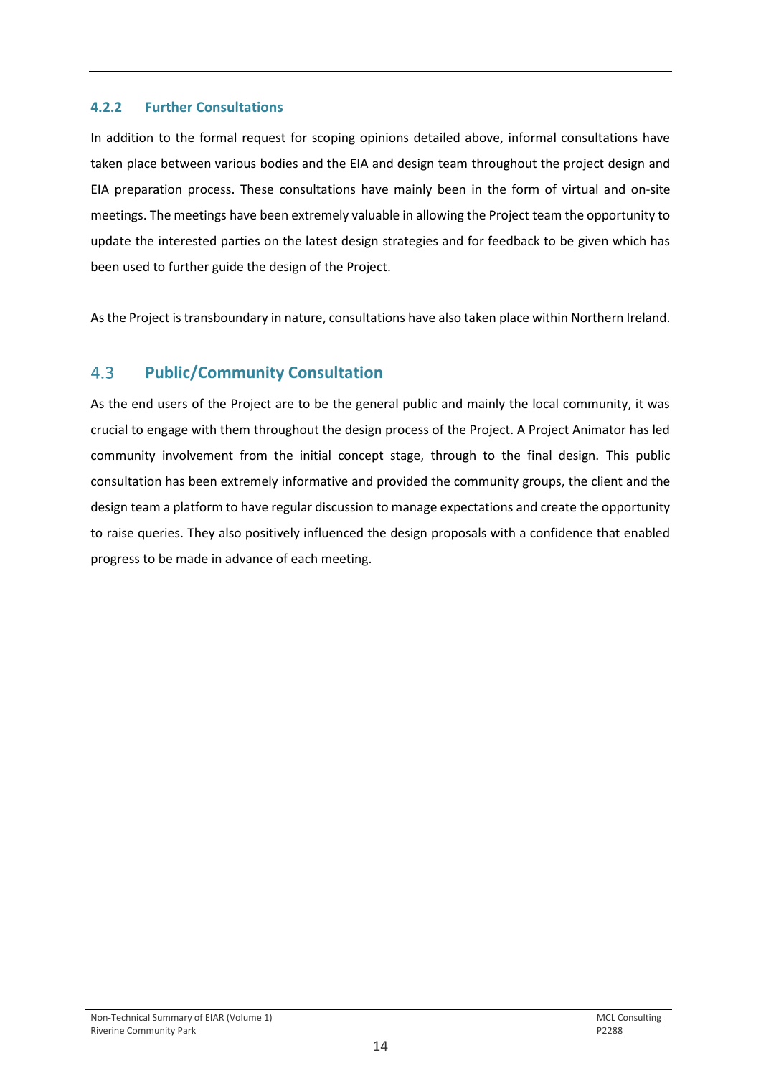### **4.2.2 Further Consultations**

In addition to the formal request for scoping opinions detailed above, informal consultations have taken place between various bodies and the EIA and design team throughout the project design and EIA preparation process. These consultations have mainly been in the form of virtual and on-site meetings. The meetings have been extremely valuable in allowing the Project team the opportunity to update the interested parties on the latest design strategies and for feedback to be given which has been used to further guide the design of the Project.

As the Project is transboundary in nature, consultations have also taken place within Northern Ireland.

#### <span id="page-15-0"></span> $4.3$ **Public/Community Consultation**

As the end users of the Project are to be the general public and mainly the local community, it was crucial to engage with them throughout the design process of the Project. A Project Animator has led community involvement from the initial concept stage, through to the final design. This public consultation has been extremely informative and provided the community groups, the client and the design team a platform to have regular discussion to manage expectations and create the opportunity to raise queries. They also positively influenced the design proposals with a confidence that enabled progress to be made in advance of each meeting.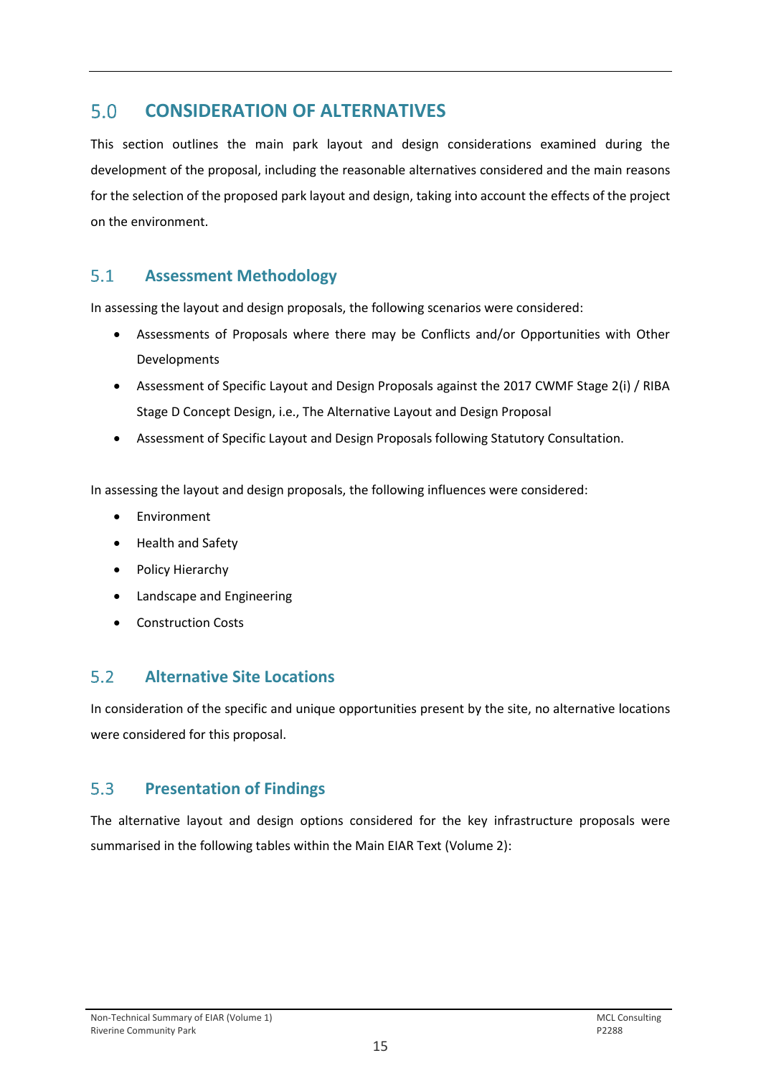### <span id="page-16-0"></span> $5.0$ **CONSIDERATION OF ALTERNATIVES**

This section outlines the main park layout and design considerations examined during the development of the proposal, including the reasonable alternatives considered and the main reasons for the selection of the proposed park layout and design, taking into account the effects of the project on the environment.

#### <span id="page-16-1"></span> $5.1$ **Assessment Methodology**

In assessing the layout and design proposals, the following scenarios were considered:

- Assessments of Proposals where there may be Conflicts and/or Opportunities with Other Developments
- Assessment of Specific Layout and Design Proposals against the 2017 CWMF Stage 2(i) / RIBA Stage D Concept Design, i.e., The Alternative Layout and Design Proposal
- Assessment of Specific Layout and Design Proposals following Statutory Consultation.

In assessing the layout and design proposals, the following influences were considered:

- **Environment**
- Health and Safety
- Policy Hierarchy
- Landscape and Engineering
- Construction Costs

#### <span id="page-16-2"></span> $5.2$ **Alternative Site Locations**

In consideration of the specific and unique opportunities present by the site, no alternative locations were considered for this proposal.

#### <span id="page-16-3"></span> $5.3$ **Presentation of Findings**

The alternative layout and design options considered for the key infrastructure proposals were summarised in the following tables within the Main EIAR Text (Volume 2):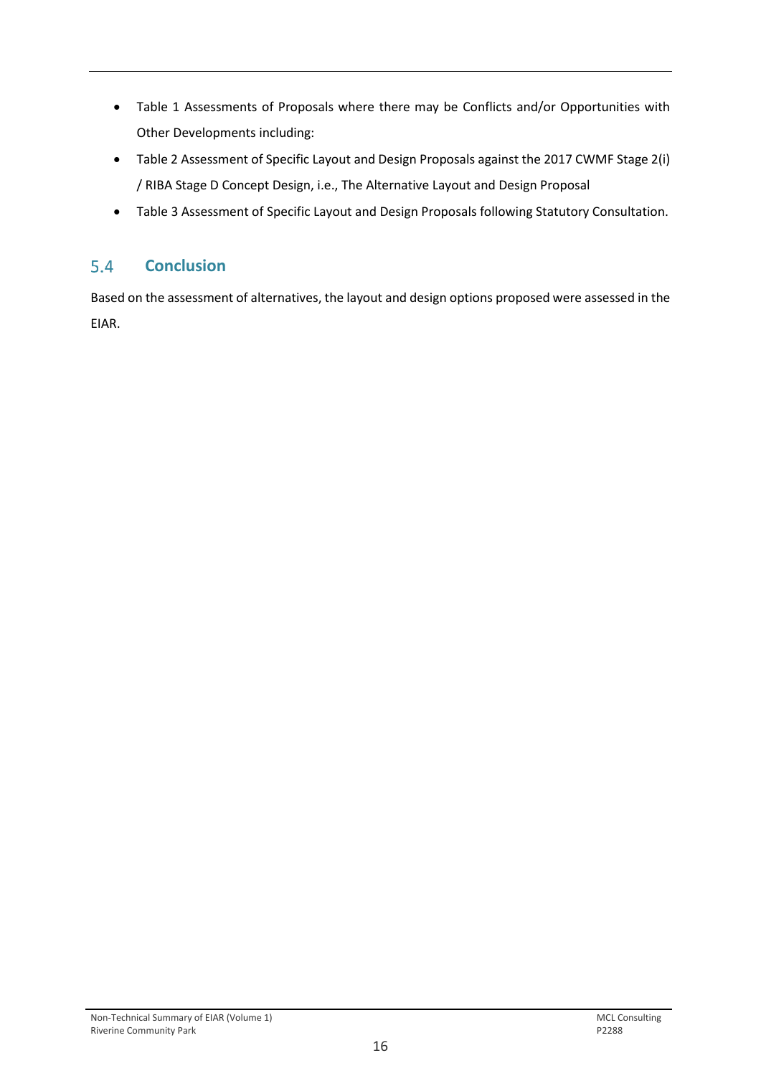- Table 1 Assessments of Proposals where there may be Conflicts and/or Opportunities with Other Developments including:
- Table 2 Assessment of Specific Layout and Design Proposals against the 2017 CWMF Stage 2(i) / RIBA Stage D Concept Design, i.e., The Alternative Layout and Design Proposal
- Table 3 Assessment of Specific Layout and Design Proposals following Statutory Consultation.

#### <span id="page-17-0"></span>**Conclusion**  $5.4$

Based on the assessment of alternatives, the layout and design options proposed were assessed in the EIAR.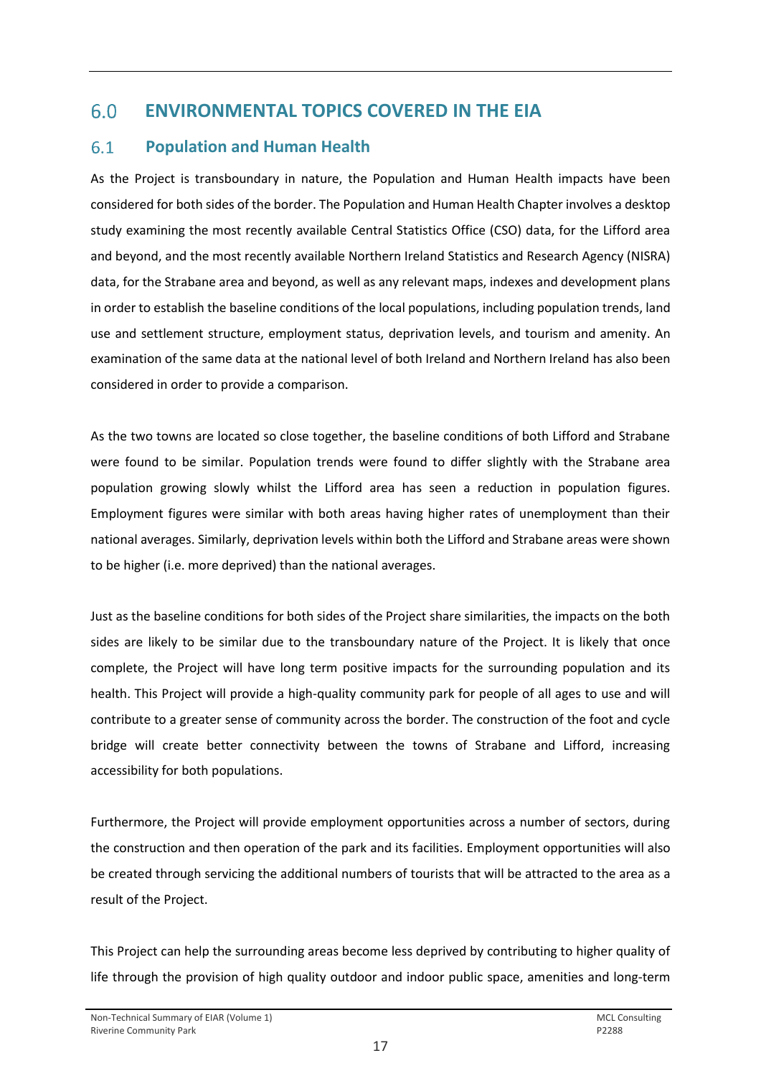### <span id="page-18-0"></span> $6.0$ **ENVIRONMENTAL TOPICS COVERED IN THE EIA**

### <span id="page-18-1"></span> $6.1$ **Population and Human Health**

As the Project is transboundary in nature, the Population and Human Health impacts have been considered for both sides of the border. The Population and Human Health Chapter involves a desktop study examining the most recently available Central Statistics Office (CSO) data, for the Lifford area and beyond, and the most recently available Northern Ireland Statistics and Research Agency (NISRA) data, for the Strabane area and beyond, as well as any relevant maps, indexes and development plans in order to establish the baseline conditions of the local populations, including population trends, land use and settlement structure, employment status, deprivation levels, and tourism and amenity. An examination of the same data at the national level of both Ireland and Northern Ireland has also been considered in order to provide a comparison.

As the two towns are located so close together, the baseline conditions of both Lifford and Strabane were found to be similar. Population trends were found to differ slightly with the Strabane area population growing slowly whilst the Lifford area has seen a reduction in population figures. Employment figures were similar with both areas having higher rates of unemployment than their national averages. Similarly, deprivation levels within both the Lifford and Strabane areas were shown to be higher (i.e. more deprived) than the national averages.

Just as the baseline conditions for both sides of the Project share similarities, the impacts on the both sides are likely to be similar due to the transboundary nature of the Project. It is likely that once complete, the Project will have long term positive impacts for the surrounding population and its health. This Project will provide a high-quality community park for people of all ages to use and will contribute to a greater sense of community across the border. The construction of the foot and cycle bridge will create better connectivity between the towns of Strabane and Lifford, increasing accessibility for both populations.

Furthermore, the Project will provide employment opportunities across a number of sectors, during the construction and then operation of the park and its facilities. Employment opportunities will also be created through servicing the additional numbers of tourists that will be attracted to the area as a result of the Project.

This Project can help the surrounding areas become less deprived by contributing to higher quality of life through the provision of high quality outdoor and indoor public space, amenities and long-term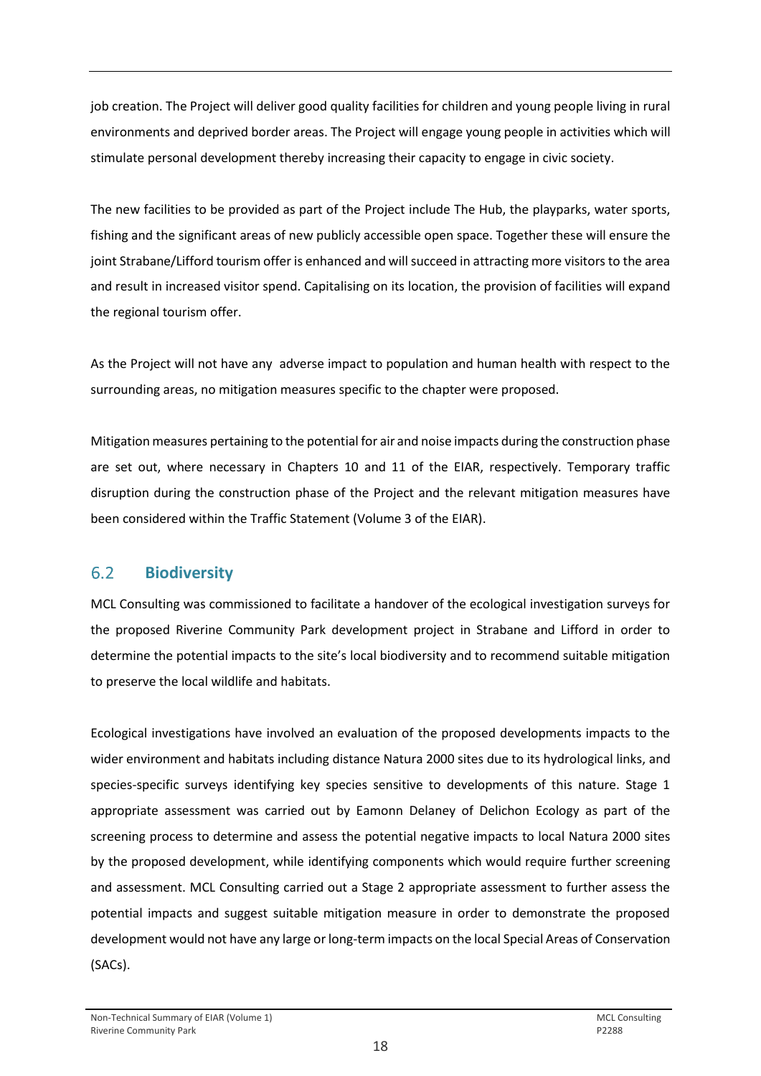job creation. The Project will deliver good quality facilities for children and young people living in rural environments and deprived border areas. The Project will engage young people in activities which will stimulate personal development thereby increasing their capacity to engage in civic society.

The new facilities to be provided as part of the Project include The Hub, the playparks, water sports, fishing and the significant areas of new publicly accessible open space. Together these will ensure the joint Strabane/Lifford tourism offer is enhanced and will succeed in attracting more visitors to the area and result in increased visitor spend. Capitalising on its location, the provision of facilities will expand the regional tourism offer.

As the Project will not have any adverse impact to population and human health with respect to the surrounding areas, no mitigation measures specific to the chapter were proposed.

Mitigation measures pertaining to the potential for air and noise impacts during the construction phase are set out, where necessary in Chapters 10 and 11 of the EIAR, respectively. Temporary traffic disruption during the construction phase of the Project and the relevant mitigation measures have been considered within the Traffic Statement (Volume 3 of the EIAR).

#### <span id="page-19-0"></span> $6.2$ **Biodiversity**

MCL Consulting was commissioned to facilitate a handover of the ecological investigation surveys for the proposed Riverine Community Park development project in Strabane and Lifford in order to determine the potential impacts to the site's local biodiversity and to recommend suitable mitigation to preserve the local wildlife and habitats.

Ecological investigations have involved an evaluation of the proposed developments impacts to the wider environment and habitats including distance Natura 2000 sites due to its hydrological links, and species-specific surveys identifying key species sensitive to developments of this nature. Stage 1 appropriate assessment was carried out by Eamonn Delaney of Delichon Ecology as part of the screening process to determine and assess the potential negative impacts to local Natura 2000 sites by the proposed development, while identifying components which would require further screening and assessment. MCL Consulting carried out a Stage 2 appropriate assessment to further assess the potential impacts and suggest suitable mitigation measure in order to demonstrate the proposed development would not have any large or long-term impacts on the local Special Areas of Conservation (SACs).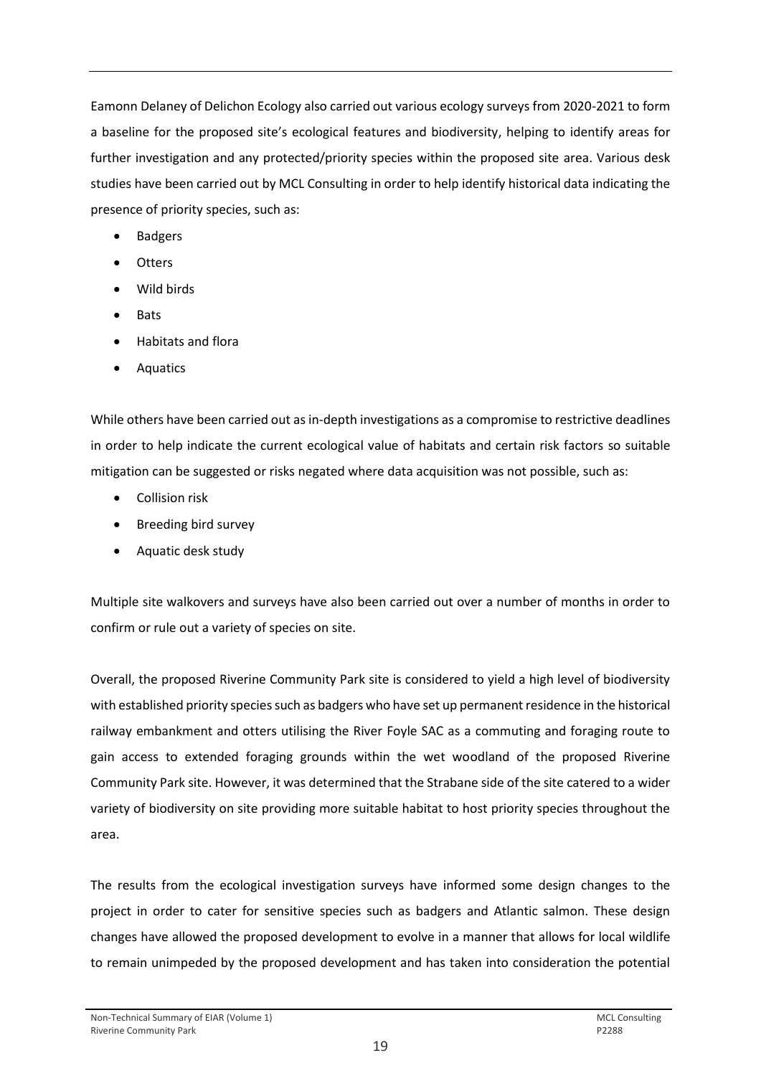Eamonn Delaney of Delichon Ecology also carried out various ecology surveys from 2020-2021 to form a baseline for the proposed site's ecological features and biodiversity, helping to identify areas for further investigation and any protected/priority species within the proposed site area. Various desk studies have been carried out by MCL Consulting in order to help identify historical data indicating the presence of priority species, such as:

- Badgers
- Otters
- Wild birds
- Bats
- Habitats and flora
- Aquatics

While others have been carried out as in-depth investigations as a compromise to restrictive deadlines in order to help indicate the current ecological value of habitats and certain risk factors so suitable mitigation can be suggested or risks negated where data acquisition was not possible, such as:

- Collision risk
- Breeding bird survey
- Aquatic desk study

Multiple site walkovers and surveys have also been carried out over a number of months in order to confirm or rule out a variety of species on site.

Overall, the proposed Riverine Community Park site is considered to yield a high level of biodiversity with established priority species such as badgers who have set up permanent residence in the historical railway embankment and otters utilising the River Foyle SAC as a commuting and foraging route to gain access to extended foraging grounds within the wet woodland of the proposed Riverine Community Park site. However, it was determined that the Strabane side of the site catered to a wider variety of biodiversity on site providing more suitable habitat to host priority species throughout the area.

The results from the ecological investigation surveys have informed some design changes to the project in order to cater for sensitive species such as badgers and Atlantic salmon. These design changes have allowed the proposed development to evolve in a manner that allows for local wildlife to remain unimpeded by the proposed development and has taken into consideration the potential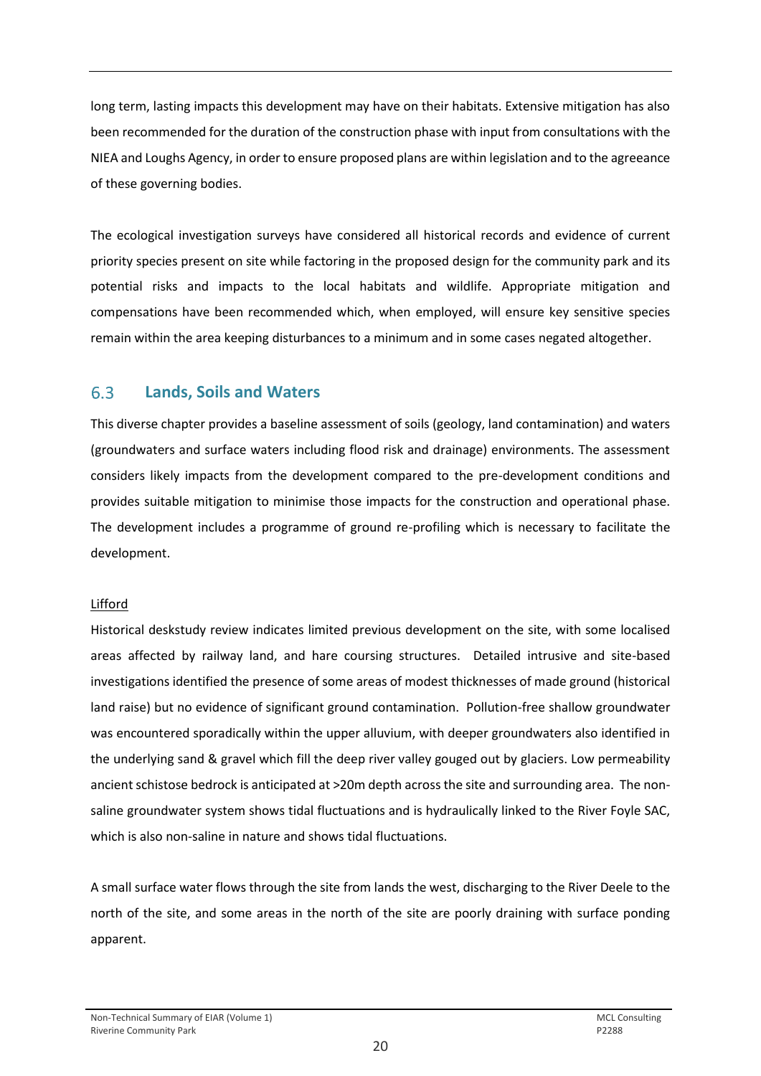long term, lasting impacts this development may have on their habitats. Extensive mitigation has also been recommended for the duration of the construction phase with input from consultations with the NIEA and Loughs Agency, in order to ensure proposed plans are within legislation and to the agreeance of these governing bodies.

The ecological investigation surveys have considered all historical records and evidence of current priority species present on site while factoring in the proposed design for the community park and its potential risks and impacts to the local habitats and wildlife. Appropriate mitigation and compensations have been recommended which, when employed, will ensure key sensitive species remain within the area keeping disturbances to a minimum and in some cases negated altogether.

#### <span id="page-21-0"></span>6.3 **Lands, Soils and Waters**

This diverse chapter provides a baseline assessment of soils (geology, land contamination) and waters (groundwaters and surface waters including flood risk and drainage) environments. The assessment considers likely impacts from the development compared to the pre-development conditions and provides suitable mitigation to minimise those impacts for the construction and operational phase. The development includes a programme of ground re-profiling which is necessary to facilitate the development.

### Lifford

Historical deskstudy review indicates limited previous development on the site, with some localised areas affected by railway land, and hare coursing structures. Detailed intrusive and site-based investigations identified the presence of some areas of modest thicknesses of made ground (historical land raise) but no evidence of significant ground contamination. Pollution-free shallow groundwater was encountered sporadically within the upper alluvium, with deeper groundwaters also identified in the underlying sand & gravel which fill the deep river valley gouged out by glaciers. Low permeability ancient schistose bedrock is anticipated at >20m depth across the site and surrounding area. The nonsaline groundwater system shows tidal fluctuations and is hydraulically linked to the River Foyle SAC, which is also non-saline in nature and shows tidal fluctuations.

A small surface water flows through the site from lands the west, discharging to the River Deele to the north of the site, and some areas in the north of the site are poorly draining with surface ponding apparent.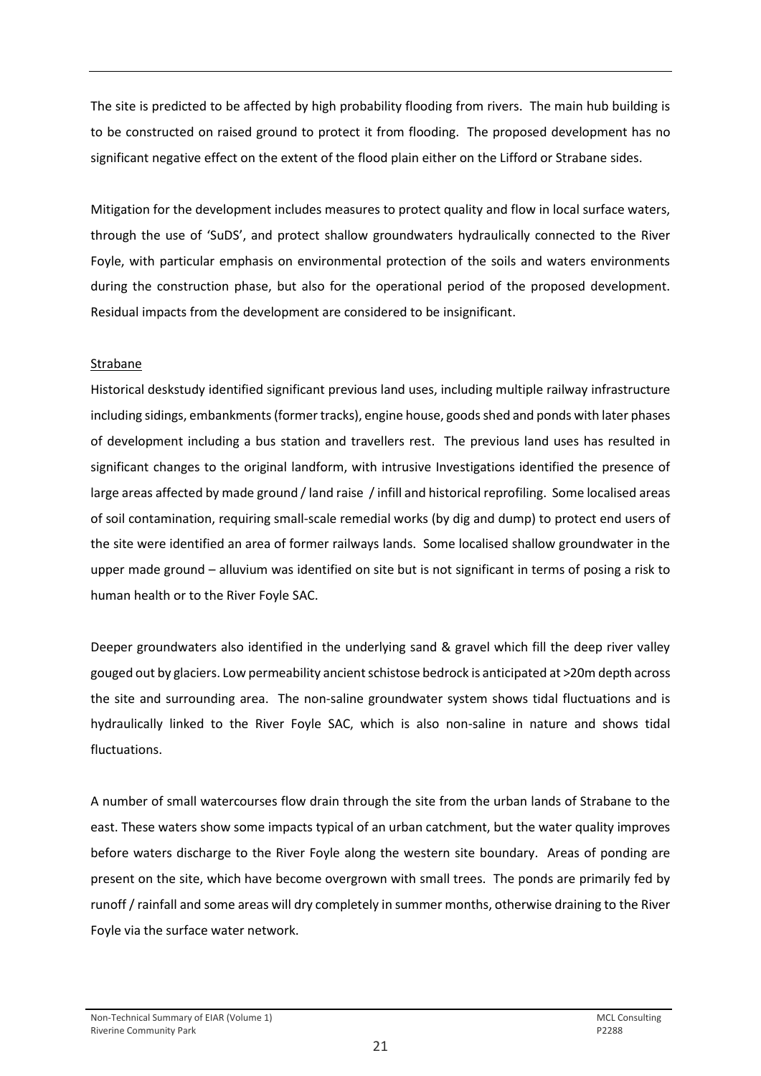The site is predicted to be affected by high probability flooding from rivers. The main hub building is to be constructed on raised ground to protect it from flooding. The proposed development has no significant negative effect on the extent of the flood plain either on the Lifford or Strabane sides.

Mitigation for the development includes measures to protect quality and flow in local surface waters, through the use of 'SuDS', and protect shallow groundwaters hydraulically connected to the River Foyle, with particular emphasis on environmental protection of the soils and waters environments during the construction phase, but also for the operational period of the proposed development. Residual impacts from the development are considered to be insignificant.

### Strabane

Historical deskstudy identified significant previous land uses, including multiple railway infrastructure including sidings, embankments (former tracks), engine house, goods shed and ponds with later phases of development including a bus station and travellers rest. The previous land uses has resulted in significant changes to the original landform, with intrusive Investigations identified the presence of large areas affected by made ground / land raise / infill and historical reprofiling. Some localised areas of soil contamination, requiring small-scale remedial works (by dig and dump) to protect end users of the site were identified an area of former railways lands. Some localised shallow groundwater in the upper made ground – alluvium was identified on site but is not significant in terms of posing a risk to human health or to the River Foyle SAC.

Deeper groundwaters also identified in the underlying sand & gravel which fill the deep river valley gouged out by glaciers. Low permeability ancient schistose bedrock is anticipated at >20m depth across the site and surrounding area. The non-saline groundwater system shows tidal fluctuations and is hydraulically linked to the River Foyle SAC, which is also non-saline in nature and shows tidal fluctuations.

A number of small watercourses flow drain through the site from the urban lands of Strabane to the east. These waters show some impacts typical of an urban catchment, but the water quality improves before waters discharge to the River Foyle along the western site boundary. Areas of ponding are present on the site, which have become overgrown with small trees. The ponds are primarily fed by runoff / rainfall and some areas will dry completely in summer months, otherwise draining to the River Foyle via the surface water network.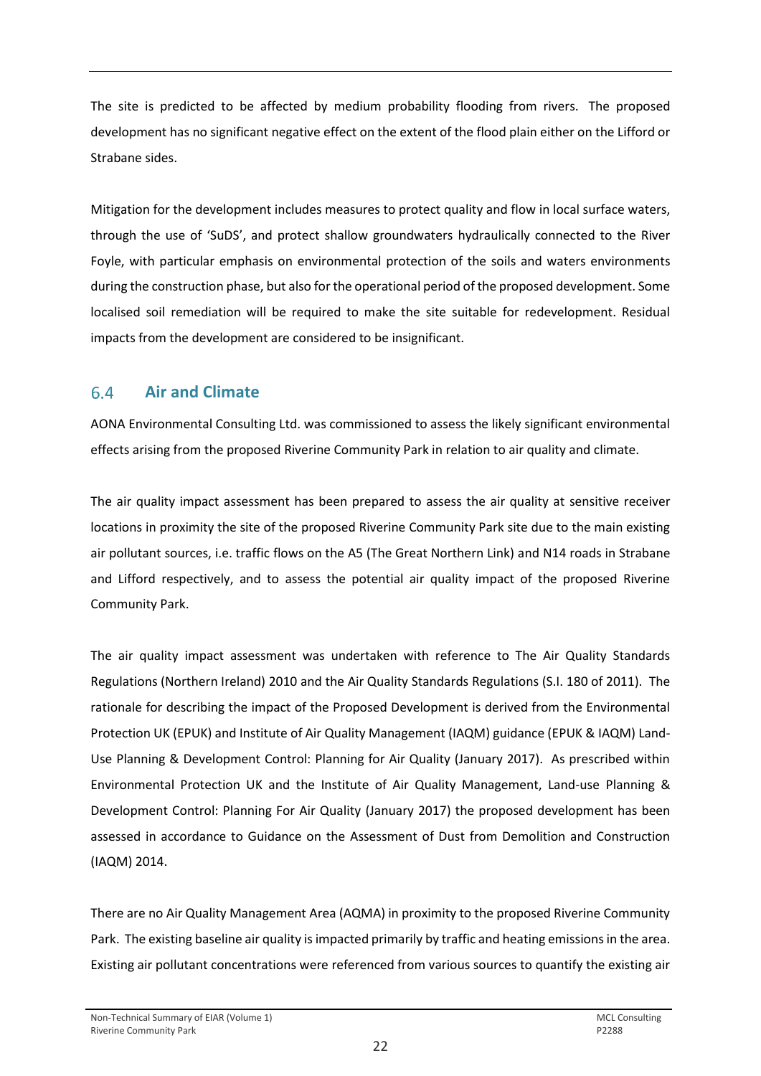The site is predicted to be affected by medium probability flooding from rivers. The proposed development has no significant negative effect on the extent of the flood plain either on the Lifford or Strabane sides.

Mitigation for the development includes measures to protect quality and flow in local surface waters, through the use of 'SuDS', and protect shallow groundwaters hydraulically connected to the River Foyle, with particular emphasis on environmental protection of the soils and waters environments during the construction phase, but also for the operational period of the proposed development. Some localised soil remediation will be required to make the site suitable for redevelopment. Residual impacts from the development are considered to be insignificant.

#### <span id="page-23-0"></span> $6.4$ **Air and Climate**

AONA Environmental Consulting Ltd. was commissioned to assess the likely significant environmental effects arising from the proposed Riverine Community Park in relation to air quality and climate.

The air quality impact assessment has been prepared to assess the air quality at sensitive receiver locations in proximity the site of the proposed Riverine Community Park site due to the main existing air pollutant sources, i.e. traffic flows on the A5 (The Great Northern Link) and N14 roads in Strabane and Lifford respectively, and to assess the potential air quality impact of the proposed Riverine Community Park.

The air quality impact assessment was undertaken with reference to The Air Quality Standards Regulations (Northern Ireland) 2010 and the Air Quality Standards Regulations (S.I. 180 of 2011). The rationale for describing the impact of the Proposed Development is derived from the Environmental Protection UK (EPUK) and Institute of Air Quality Management (IAQM) guidance (EPUK & IAQM) Land-Use Planning & Development Control: Planning for Air Quality (January 2017). As prescribed within Environmental Protection UK and the Institute of Air Quality Management, Land-use Planning & Development Control: Planning For Air Quality (January 2017) the proposed development has been assessed in accordance to Guidance on the Assessment of Dust from Demolition and Construction (IAQM) 2014.

There are no Air Quality Management Area (AQMA) in proximity to the proposed Riverine Community Park. The existing baseline air quality is impacted primarily by traffic and heating emissions in the area. Existing air pollutant concentrations were referenced from various sources to quantify the existing air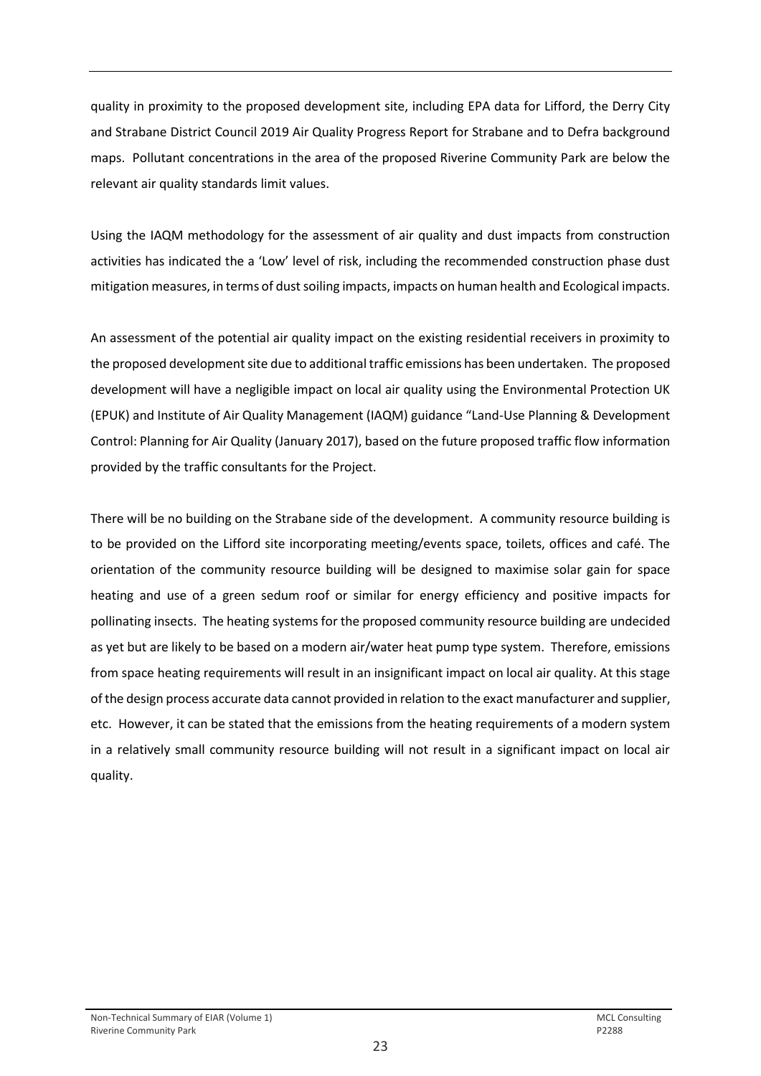quality in proximity to the proposed development site, including EPA data for Lifford, the Derry City and Strabane District Council 2019 Air Quality Progress Report for Strabane and to Defra background maps. Pollutant concentrations in the area of the proposed Riverine Community Park are below the relevant air quality standards limit values.

Using the IAQM methodology for the assessment of air quality and dust impacts from construction activities has indicated the a 'Low' level of risk, including the recommended construction phase dust mitigation measures, in terms of dust soiling impacts, impacts on human health and Ecological impacts.

An assessment of the potential air quality impact on the existing residential receivers in proximity to the proposed development site due to additional traffic emissions has been undertaken. The proposed development will have a negligible impact on local air quality using the Environmental Protection UK (EPUK) and Institute of Air Quality Management (IAQM) guidance "Land-Use Planning & Development Control: Planning for Air Quality (January 2017), based on the future proposed traffic flow information provided by the traffic consultants for the Project.

There will be no building on the Strabane side of the development. A community resource building is to be provided on the Lifford site incorporating meeting/events space, toilets, offices and café. The orientation of the community resource building will be designed to maximise solar gain for space heating and use of a green sedum roof or similar for energy efficiency and positive impacts for pollinating insects. The heating systems for the proposed community resource building are undecided as yet but are likely to be based on a modern air/water heat pump type system. Therefore, emissions from space heating requirements will result in an insignificant impact on local air quality. At this stage of the design process accurate data cannot provided in relation to the exact manufacturer and supplier, etc. However, it can be stated that the emissions from the heating requirements of a modern system in a relatively small community resource building will not result in a significant impact on local air quality.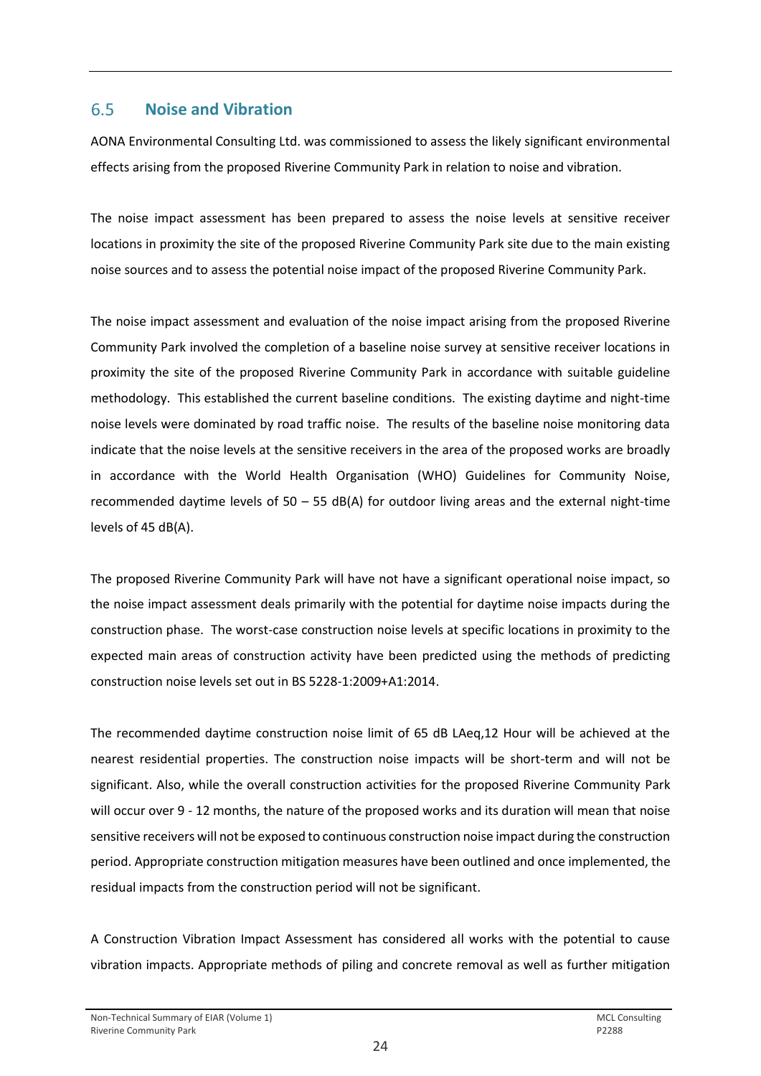#### <span id="page-25-0"></span>6.5 **Noise and Vibration**

AONA Environmental Consulting Ltd. was commissioned to assess the likely significant environmental effects arising from the proposed Riverine Community Park in relation to noise and vibration.

The noise impact assessment has been prepared to assess the noise levels at sensitive receiver locations in proximity the site of the proposed Riverine Community Park site due to the main existing noise sources and to assess the potential noise impact of the proposed Riverine Community Park.

The noise impact assessment and evaluation of the noise impact arising from the proposed Riverine Community Park involved the completion of a baseline noise survey at sensitive receiver locations in proximity the site of the proposed Riverine Community Park in accordance with suitable guideline methodology. This established the current baseline conditions. The existing daytime and night-time noise levels were dominated by road traffic noise. The results of the baseline noise monitoring data indicate that the noise levels at the sensitive receivers in the area of the proposed works are broadly in accordance with the World Health Organisation (WHO) Guidelines for Community Noise, recommended daytime levels of  $50 - 55$  dB(A) for outdoor living areas and the external night-time levels of 45 dB(A).

The proposed Riverine Community Park will have not have a significant operational noise impact, so the noise impact assessment deals primarily with the potential for daytime noise impacts during the construction phase. The worst-case construction noise levels at specific locations in proximity to the expected main areas of construction activity have been predicted using the methods of predicting construction noise levels set out in BS 5228-1:2009+A1:2014.

The recommended daytime construction noise limit of 65 dB LAeq,12 Hour will be achieved at the nearest residential properties. The construction noise impacts will be short-term and will not be significant. Also, while the overall construction activities for the proposed Riverine Community Park will occur over 9 - 12 months, the nature of the proposed works and its duration will mean that noise sensitive receivers will not be exposed to continuous construction noise impact during the construction period. Appropriate construction mitigation measures have been outlined and once implemented, the residual impacts from the construction period will not be significant.

A Construction Vibration Impact Assessment has considered all works with the potential to cause vibration impacts. Appropriate methods of piling and concrete removal as well as further mitigation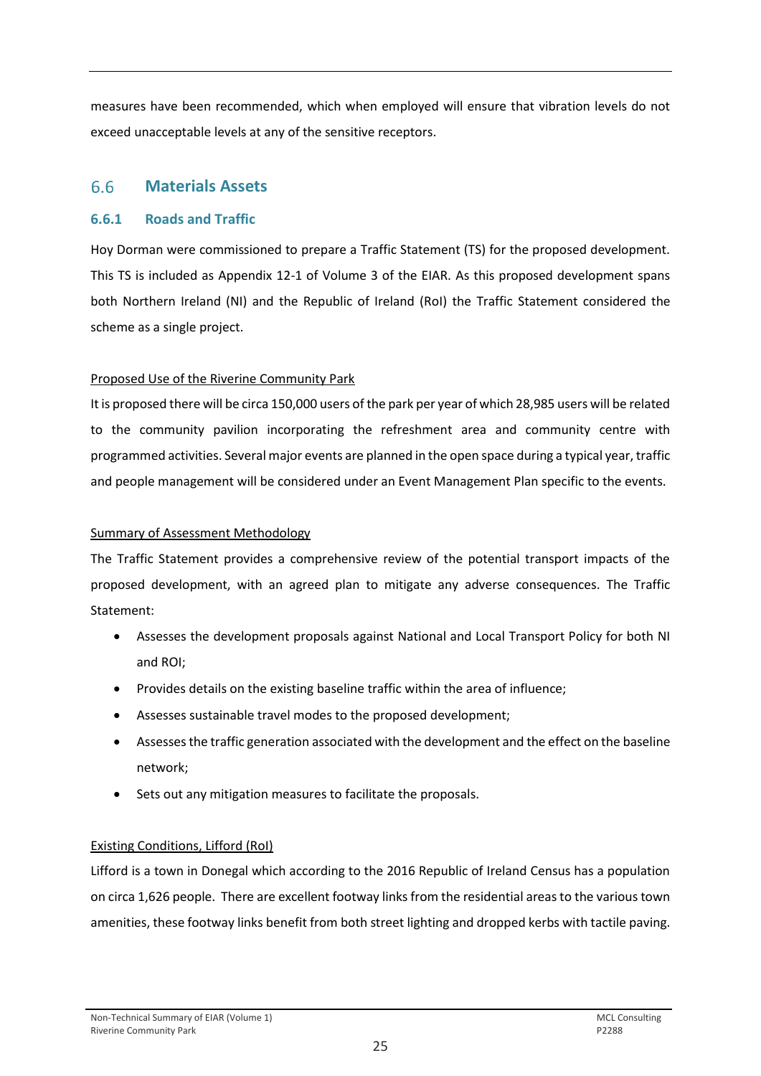measures have been recommended, which when employed will ensure that vibration levels do not exceed unacceptable levels at any of the sensitive receptors.

#### <span id="page-26-0"></span> $6.6$ **Materials Assets**

# **6.6.1 Roads and Traffic**

Hoy Dorman were commissioned to prepare a Traffic Statement (TS) for the proposed development. This TS is included as Appendix 12-1 of Volume 3 of the EIAR. As this proposed development spans both Northern Ireland (NI) and the Republic of Ireland (RoI) the Traffic Statement considered the scheme as a single project.

### Proposed Use of the Riverine Community Park

It is proposed there will be circa 150,000 users of the park per year of which 28,985 users will be related to the community pavilion incorporating the refreshment area and community centre with programmed activities. Several major events are planned in the open space during a typical year, traffic and people management will be considered under an Event Management Plan specific to the events.

### Summary of Assessment Methodology

The Traffic Statement provides a comprehensive review of the potential transport impacts of the proposed development, with an agreed plan to mitigate any adverse consequences. The Traffic Statement:

- Assesses the development proposals against National and Local Transport Policy for both NI and ROI;
- Provides details on the existing baseline traffic within the area of influence;
- Assesses sustainable travel modes to the proposed development;
- Assesses the traffic generation associated with the development and the effect on the baseline network;
- Sets out any mitigation measures to facilitate the proposals.

# Existing Conditions, Lifford (RoI)

Lifford is a town in Donegal which according to the 2016 Republic of Ireland Census has a population on circa 1,626 people. There are excellent footway links from the residential areas to the various town amenities, these footway links benefit from both street lighting and dropped kerbs with tactile paving.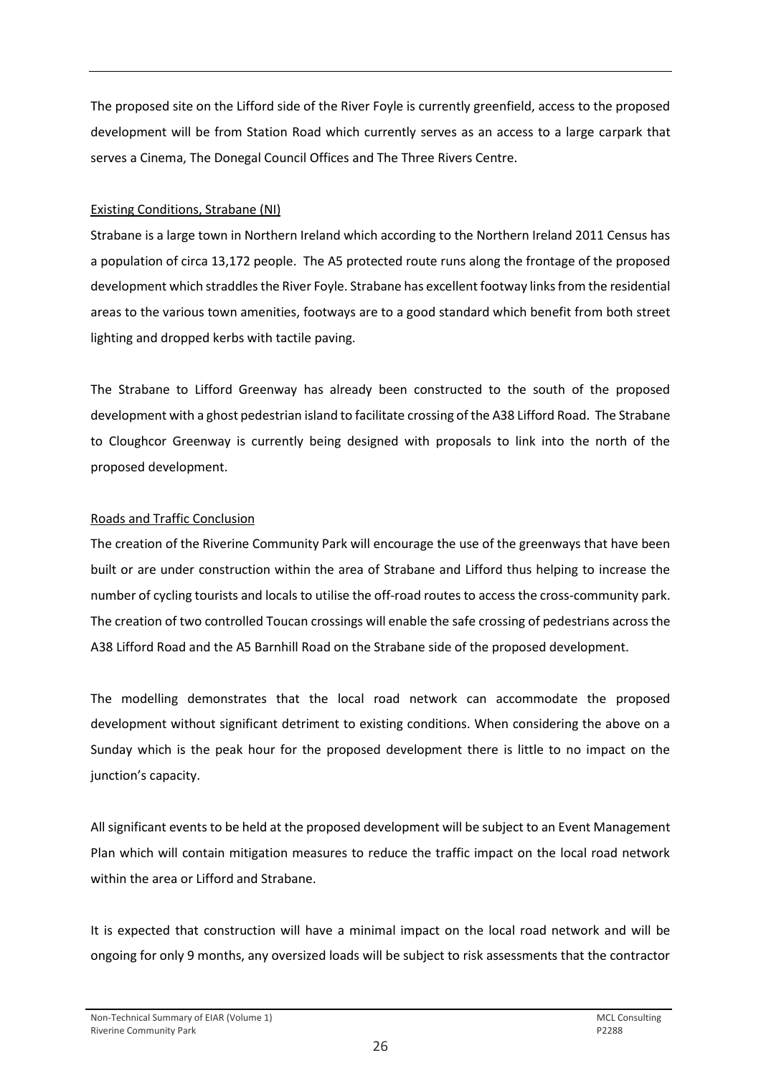The proposed site on the Lifford side of the River Foyle is currently greenfield, access to the proposed development will be from Station Road which currently serves as an access to a large carpark that serves a Cinema, The Donegal Council Offices and The Three Rivers Centre.

### Existing Conditions, Strabane (NI)

Strabane is a large town in Northern Ireland which according to the Northern Ireland 2011 Census has a population of circa 13,172 people. The A5 protected route runs along the frontage of the proposed development which straddles the River Foyle. Strabane has excellent footway links from the residential areas to the various town amenities, footways are to a good standard which benefit from both street lighting and dropped kerbs with tactile paving.

The Strabane to Lifford Greenway has already been constructed to the south of the proposed development with a ghost pedestrian island to facilitate crossing of the A38 Lifford Road. The Strabane to Cloughcor Greenway is currently being designed with proposals to link into the north of the proposed development.

### Roads and Traffic Conclusion

The creation of the Riverine Community Park will encourage the use of the greenways that have been built or are under construction within the area of Strabane and Lifford thus helping to increase the number of cycling tourists and locals to utilise the off-road routes to access the cross-community park. The creation of two controlled Toucan crossings will enable the safe crossing of pedestrians across the A38 Lifford Road and the A5 Barnhill Road on the Strabane side of the proposed development.

The modelling demonstrates that the local road network can accommodate the proposed development without significant detriment to existing conditions. When considering the above on a Sunday which is the peak hour for the proposed development there is little to no impact on the junction's capacity.

All significant events to be held at the proposed development will be subject to an Event Management Plan which will contain mitigation measures to reduce the traffic impact on the local road network within the area or Lifford and Strabane.

It is expected that construction will have a minimal impact on the local road network and will be ongoing for only 9 months, any oversized loads will be subject to risk assessments that the contractor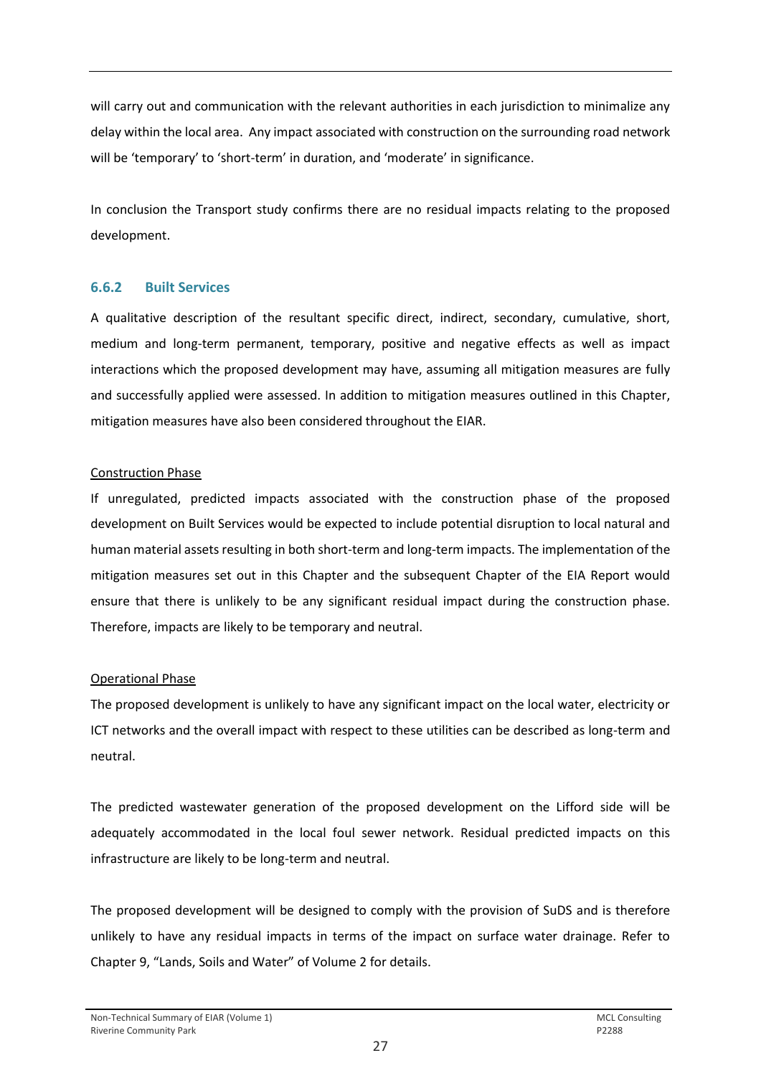will carry out and communication with the relevant authorities in each jurisdiction to minimalize any delay within the local area. Any impact associated with construction on the surrounding road network will be 'temporary' to 'short-term' in duration, and 'moderate' in significance.

In conclusion the Transport study confirms there are no residual impacts relating to the proposed development.

### **6.6.2 Built Services**

A qualitative description of the resultant specific direct, indirect, secondary, cumulative, short, medium and long-term permanent, temporary, positive and negative effects as well as impact interactions which the proposed development may have, assuming all mitigation measures are fully and successfully applied were assessed. In addition to mitigation measures outlined in this Chapter, mitigation measures have also been considered throughout the EIAR.

### Construction Phase

If unregulated, predicted impacts associated with the construction phase of the proposed development on Built Services would be expected to include potential disruption to local natural and human material assets resulting in both short-term and long-term impacts. The implementation of the mitigation measures set out in this Chapter and the subsequent Chapter of the EIA Report would ensure that there is unlikely to be any significant residual impact during the construction phase. Therefore, impacts are likely to be temporary and neutral.

# Operational Phase

The proposed development is unlikely to have any significant impact on the local water, electricity or ICT networks and the overall impact with respect to these utilities can be described as long-term and neutral.

The predicted wastewater generation of the proposed development on the Lifford side will be adequately accommodated in the local foul sewer network. Residual predicted impacts on this infrastructure are likely to be long-term and neutral.

The proposed development will be designed to comply with the provision of SuDS and is therefore unlikely to have any residual impacts in terms of the impact on surface water drainage. Refer to Chapter 9, "Lands, Soils and Water" of Volume 2 for details.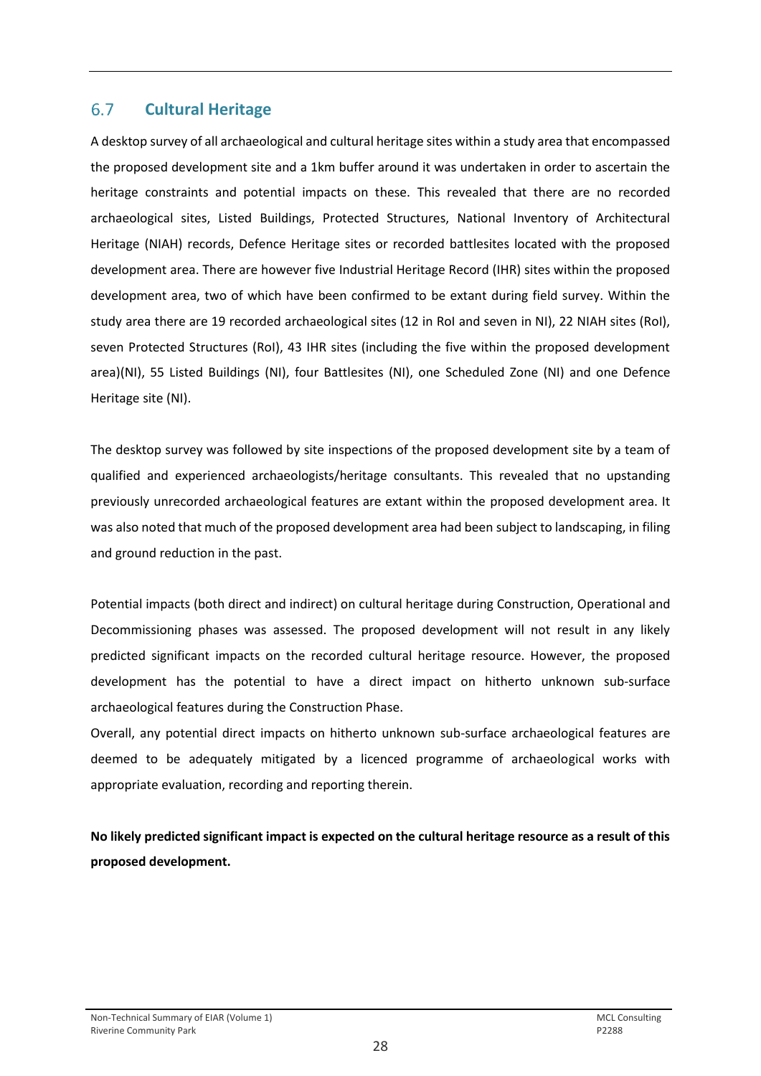#### <span id="page-29-0"></span>**Cultural Heritage**  6.7

A desktop survey of all archaeological and cultural heritage sites within a study area that encompassed the proposed development site and a 1km buffer around it was undertaken in order to ascertain the heritage constraints and potential impacts on these. This revealed that there are no recorded archaeological sites, Listed Buildings, Protected Structures, National Inventory of Architectural Heritage (NIAH) records, Defence Heritage sites or recorded battlesites located with the proposed development area. There are however five Industrial Heritage Record (IHR) sites within the proposed development area, two of which have been confirmed to be extant during field survey. Within the study area there are 19 recorded archaeological sites (12 in RoI and seven in NI), 22 NIAH sites (RoI), seven Protected Structures (RoI), 43 IHR sites (including the five within the proposed development area)(NI), 55 Listed Buildings (NI), four Battlesites (NI), one Scheduled Zone (NI) and one Defence Heritage site (NI).

The desktop survey was followed by site inspections of the proposed development site by a team of qualified and experienced archaeologists/heritage consultants. This revealed that no upstanding previously unrecorded archaeological features are extant within the proposed development area. It was also noted that much of the proposed development area had been subject to landscaping, in filing and ground reduction in the past.

Potential impacts (both direct and indirect) on cultural heritage during Construction, Operational and Decommissioning phases was assessed. The proposed development will not result in any likely predicted significant impacts on the recorded cultural heritage resource. However, the proposed development has the potential to have a direct impact on hitherto unknown sub-surface archaeological features during the Construction Phase.

Overall, any potential direct impacts on hitherto unknown sub-surface archaeological features are deemed to be adequately mitigated by a licenced programme of archaeological works with appropriate evaluation, recording and reporting therein.

**No likely predicted significant impact is expected on the cultural heritage resource as a result of this proposed development.**

### Non-Technical Summary of EIAR (Volume 1) and the consulting of the consulting of the consulting of the consulting of the consulting of the consulting of the consulting of the consulting of the consulting of the consulting Riverine Community Park **P2288**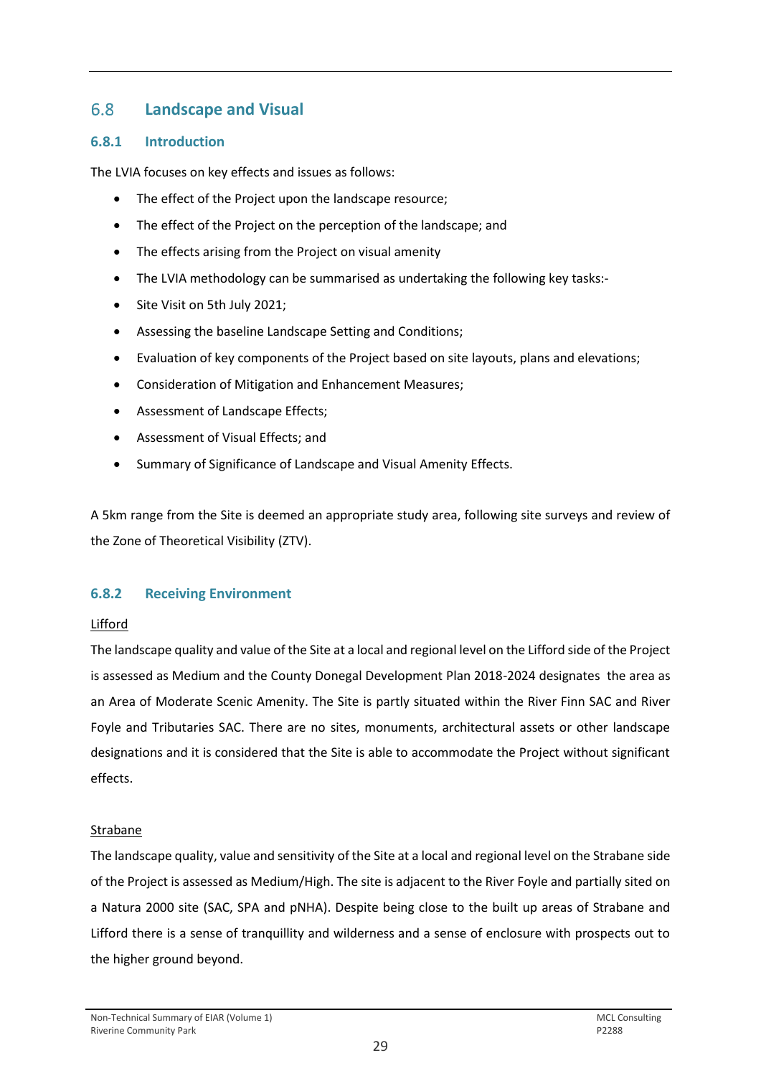#### <span id="page-30-0"></span>**Landscape and Visual**  6.8

### **6.8.1 Introduction**

The LVIA focuses on key effects and issues as follows:

- The effect of the Project upon the landscape resource;
- The effect of the Project on the perception of the landscape; and
- The effects arising from the Project on visual amenity
- The LVIA methodology can be summarised as undertaking the following key tasks:-
- Site Visit on 5th July 2021;
- Assessing the baseline Landscape Setting and Conditions;
- Evaluation of key components of the Project based on site layouts, plans and elevations;
- Consideration of Mitigation and Enhancement Measures;
- Assessment of Landscape Effects;
- Assessment of Visual Effects; and
- Summary of Significance of Landscape and Visual Amenity Effects.

A 5km range from the Site is deemed an appropriate study area, following site surveys and review of the Zone of Theoretical Visibility (ZTV).

# **6.8.2 Receiving Environment**

### Lifford

The landscape quality and value of the Site at a local and regional level on the Lifford side of the Project is assessed as Medium and the County Donegal Development Plan 2018-2024 designates the area as an Area of Moderate Scenic Amenity. The Site is partly situated within the River Finn SAC and River Foyle and Tributaries SAC. There are no sites, monuments, architectural assets or other landscape designations and it is considered that the Site is able to accommodate the Project without significant effects.

### Strabane

The landscape quality, value and sensitivity of the Site at a local and regional level on the Strabane side of the Project is assessed as Medium/High. The site is adjacent to the River Foyle and partially sited on a Natura 2000 site (SAC, SPA and pNHA). Despite being close to the built up areas of Strabane and Lifford there is a sense of tranquillity and wilderness and a sense of enclosure with prospects out to the higher ground beyond.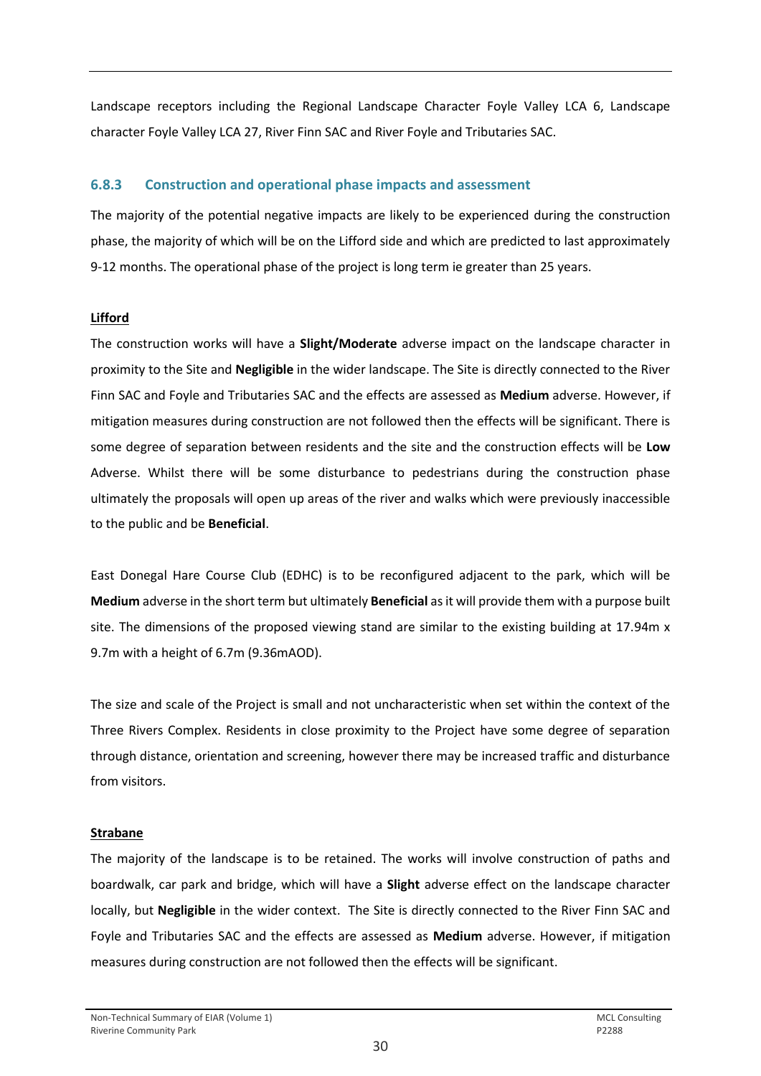Landscape receptors including the Regional Landscape Character Foyle Valley LCA 6, Landscape character Foyle Valley LCA 27, River Finn SAC and River Foyle and Tributaries SAC.

# **6.8.3 Construction and operational phase impacts and assessment**

The majority of the potential negative impacts are likely to be experienced during the construction phase, the majority of which will be on the Lifford side and which are predicted to last approximately 9-12 months. The operational phase of the project is long term ie greater than 25 years.

### **Lifford**

The construction works will have a **Slight/Moderate** adverse impact on the landscape character in proximity to the Site and **Negligible** in the wider landscape. The Site is directly connected to the River Finn SAC and Foyle and Tributaries SAC and the effects are assessed as **Medium** adverse. However, if mitigation measures during construction are not followed then the effects will be significant. There is some degree of separation between residents and the site and the construction effects will be **Low** Adverse. Whilst there will be some disturbance to pedestrians during the construction phase ultimately the proposals will open up areas of the river and walks which were previously inaccessible to the public and be **Beneficial**.

East Donegal Hare Course Club (EDHC) is to be reconfigured adjacent to the park, which will be **Medium** adverse in the short term but ultimately **Beneficial** as it will provide them with a purpose built site. The dimensions of the proposed viewing stand are similar to the existing building at 17.94m x 9.7m with a height of 6.7m (9.36mAOD).

The size and scale of the Project is small and not uncharacteristic when set within the context of the Three Rivers Complex. Residents in close proximity to the Project have some degree of separation through distance, orientation and screening, however there may be increased traffic and disturbance from visitors.

# **Strabane**

The majority of the landscape is to be retained. The works will involve construction of paths and boardwalk, car park and bridge, which will have a **Slight** adverse effect on the landscape character locally, but **Negligible** in the wider context. The Site is directly connected to the River Finn SAC and Foyle and Tributaries SAC and the effects are assessed as **Medium** adverse. However, if mitigation measures during construction are not followed then the effects will be significant.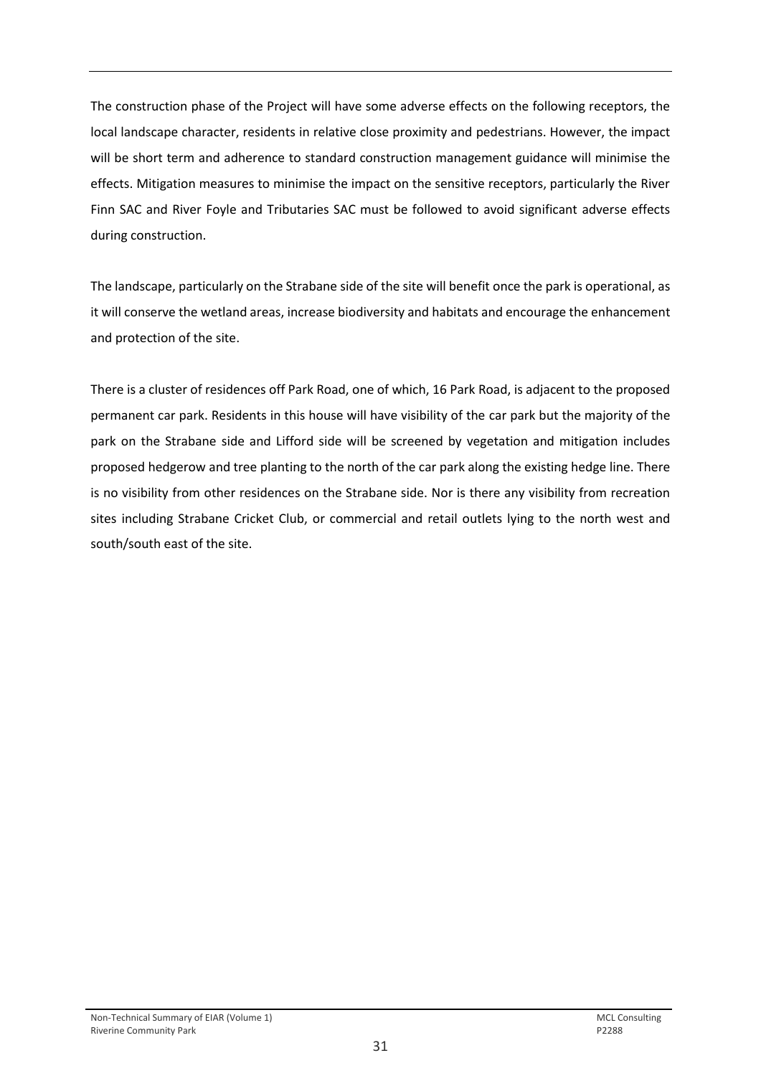The construction phase of the Project will have some adverse effects on the following receptors, the local landscape character, residents in relative close proximity and pedestrians. However, the impact will be short term and adherence to standard construction management guidance will minimise the effects. Mitigation measures to minimise the impact on the sensitive receptors, particularly the River Finn SAC and River Foyle and Tributaries SAC must be followed to avoid significant adverse effects during construction.

The landscape, particularly on the Strabane side of the site will benefit once the park is operational, as it will conserve the wetland areas, increase biodiversity and habitats and encourage the enhancement and protection of the site.

There is a cluster of residences off Park Road, one of which, 16 Park Road, is adjacent to the proposed permanent car park. Residents in this house will have visibility of the car park but the majority of the park on the Strabane side and Lifford side will be screened by vegetation and mitigation includes proposed hedgerow and tree planting to the north of the car park along the existing hedge line. There is no visibility from other residences on the Strabane side. Nor is there any visibility from recreation sites including Strabane Cricket Club, or commercial and retail outlets lying to the north west and south/south east of the site.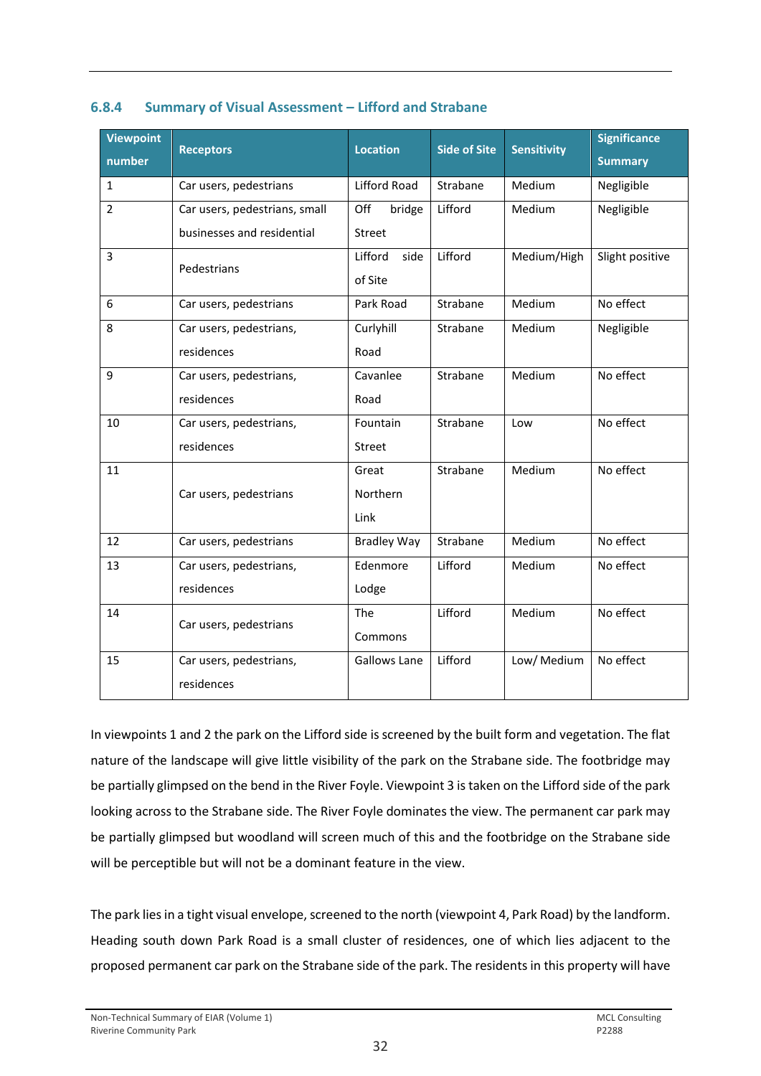| <b>Viewpoint</b><br>number | <b>Receptors</b>              | <b>Location</b>     | <b>Side of Site</b> | <b>Sensitivity</b> | <b>Significance</b><br><b>Summary</b> |
|----------------------------|-------------------------------|---------------------|---------------------|--------------------|---------------------------------------|
| $\mathbf{1}$               | Car users, pedestrians        | <b>Lifford Road</b> | Strabane            | Medium             | Negligible                            |
| $\overline{2}$             | Car users, pedestrians, small | Off<br>bridge       | Lifford             | Medium             | Negligible                            |
|                            | businesses and residential    | <b>Street</b>       |                     |                    |                                       |
| $\overline{3}$             | Pedestrians                   | Lifford<br>side     | Lifford             | Medium/High        | Slight positive                       |
|                            |                               | of Site             |                     |                    |                                       |
| 6                          | Car users, pedestrians        | Park Road           | Strabane            | Medium             | No effect                             |
| 8                          | Car users, pedestrians,       | Curlyhill           | Strabane            | Medium             | Negligible                            |
|                            | residences                    | Road                |                     |                    |                                       |
| 9                          | Car users, pedestrians,       | Cavanlee            | Strabane            | Medium             | No effect                             |
|                            | residences                    | Road                |                     |                    |                                       |
| 10                         | Car users, pedestrians,       | Fountain            | Strabane            | Low                | No effect                             |
|                            | residences                    | Street              |                     |                    |                                       |
| 11                         |                               | Great               | Strabane            | Medium             | No effect                             |
|                            | Car users, pedestrians        | Northern            |                     |                    |                                       |
|                            |                               | Link                |                     |                    |                                       |
| 12                         | Car users, pedestrians        | <b>Bradley Way</b>  | Strabane            | Medium             | No effect                             |
| 13                         | Car users, pedestrians,       | Edenmore            | Lifford             | Medium             | No effect                             |
|                            | residences                    | Lodge               |                     |                    |                                       |
| 14                         | Car users, pedestrians        | The                 | Lifford             | Medium             | No effect                             |
|                            |                               | Commons             |                     |                    |                                       |
| 15                         | Car users, pedestrians,       | <b>Gallows Lane</b> | Lifford             | Low/ Medium        | No effect                             |
|                            | residences                    |                     |                     |                    |                                       |

### **6.8.4 Summary of Visual Assessment – Lifford and Strabane**

In viewpoints 1 and 2 the park on the Lifford side is screened by the built form and vegetation. The flat nature of the landscape will give little visibility of the park on the Strabane side. The footbridge may be partially glimpsed on the bend in the River Foyle. Viewpoint 3 is taken on the Lifford side of the park looking across to the Strabane side. The River Foyle dominates the view. The permanent car park may be partially glimpsed but woodland will screen much of this and the footbridge on the Strabane side will be perceptible but will not be a dominant feature in the view.

The park lies in a tight visual envelope, screened to the north (viewpoint 4, Park Road) by the landform. Heading south down Park Road is a small cluster of residences, one of which lies adjacent to the proposed permanent car park on the Strabane side of the park. The residents in this property will have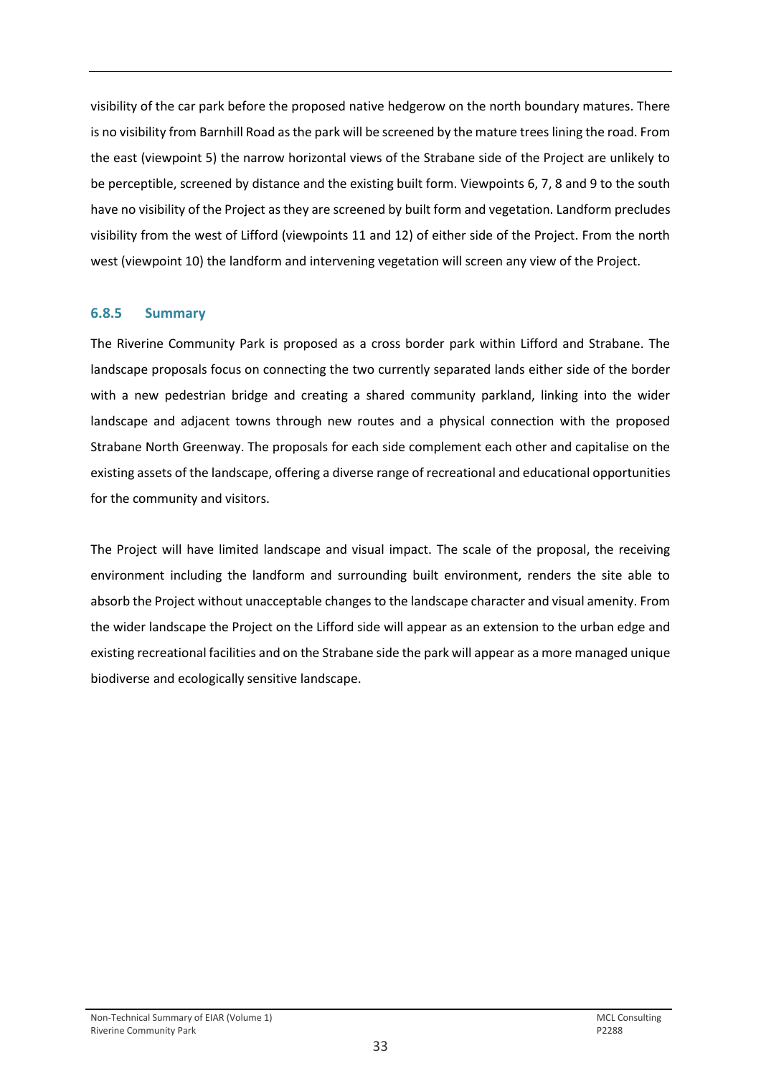visibility of the car park before the proposed native hedgerow on the north boundary matures. There is no visibility from Barnhill Road as the park will be screened by the mature trees lining the road. From the east (viewpoint 5) the narrow horizontal views of the Strabane side of the Project are unlikely to be perceptible, screened by distance and the existing built form. Viewpoints 6, 7, 8 and 9 to the south have no visibility of the Project as they are screened by built form and vegetation. Landform precludes visibility from the west of Lifford (viewpoints 11 and 12) of either side of the Project. From the north west (viewpoint 10) the landform and intervening vegetation will screen any view of the Project.

### **6.8.5 Summary**

The Riverine Community Park is proposed as a cross border park within Lifford and Strabane. The landscape proposals focus on connecting the two currently separated lands either side of the border with a new pedestrian bridge and creating a shared community parkland, linking into the wider landscape and adjacent towns through new routes and a physical connection with the proposed Strabane North Greenway. The proposals for each side complement each other and capitalise on the existing assets of the landscape, offering a diverse range of recreational and educational opportunities for the community and visitors.

The Project will have limited landscape and visual impact. The scale of the proposal, the receiving environment including the landform and surrounding built environment, renders the site able to absorb the Project without unacceptable changes to the landscape character and visual amenity. From the wider landscape the Project on the Lifford side will appear as an extension to the urban edge and existing recreational facilities and on the Strabane side the park will appear as a more managed unique biodiverse and ecologically sensitive landscape.